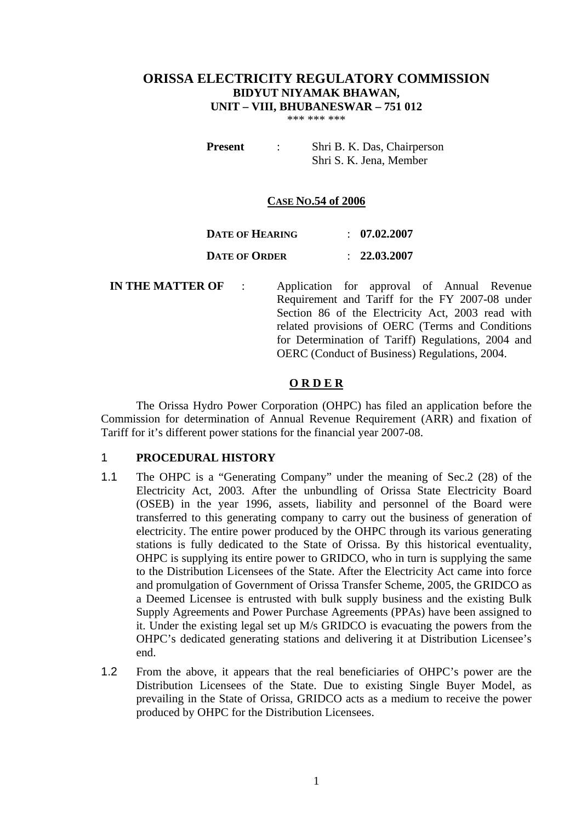# **ORISSA ELECTRICITY REGULATORY COMMISSION BIDYUT NIYAMAK BHAWAN, UNIT – VIII, BHUBANESWAR – 751 012**

\*\*\* \*\*\* \*\*\*

**Present** : Shri B. K. Das, Chairperson Shri S. K. Jena, Member

# **CASE NO.54 of 2006**

| <b>DATE OF HEARING</b> | $\therefore$ 07.02.2007 |
|------------------------|-------------------------|
| <b>DATE OF ORDER</b>   | : 22.03.2007            |

**IN THE MATTER OF** : Application for approval of Annual Revenue Requirement and Tariff for the FY 2007-08 under Section 86 of the Electricity Act, 2003 read with related provisions of OERC (Terms and Conditions for Determination of Tariff) Regulations, 2004 and OERC (Conduct of Business) Regulations, 2004.

# **O R D E R**

The Orissa Hydro Power Corporation (OHPC) has filed an application before the Commission for determination of Annual Revenue Requirement (ARR) and fixation of Tariff for it's different power stations for the financial year 2007-08.

# 1 **PROCEDURAL HISTORY**

- 1.1 The OHPC is a "Generating Company" under the meaning of Sec.2 (28) of the Electricity Act, 2003. After the unbundling of Orissa State Electricity Board (OSEB) in the year 1996, assets, liability and personnel of the Board were transferred to this generating company to carry out the business of generation of electricity. The entire power produced by the OHPC through its various generating stations is fully dedicated to the State of Orissa. By this historical eventuality, OHPC is supplying its entire power to GRIDCO, who in turn is supplying the same to the Distribution Licensees of the State. After the Electricity Act came into force and promulgation of Government of Orissa Transfer Scheme, 2005, the GRIDCO as a Deemed Licensee is entrusted with bulk supply business and the existing Bulk Supply Agreements and Power Purchase Agreements (PPAs) have been assigned to it. Under the existing legal set up M/s GRIDCO is evacuating the powers from the OHPC's dedicated generating stations and delivering it at Distribution Licensee's end.
- 1.2 From the above, it appears that the real beneficiaries of OHPC's power are the Distribution Licensees of the State. Due to existing Single Buyer Model, as prevailing in the State of Orissa, GRIDCO acts as a medium to receive the power produced by OHPC for the Distribution Licensees.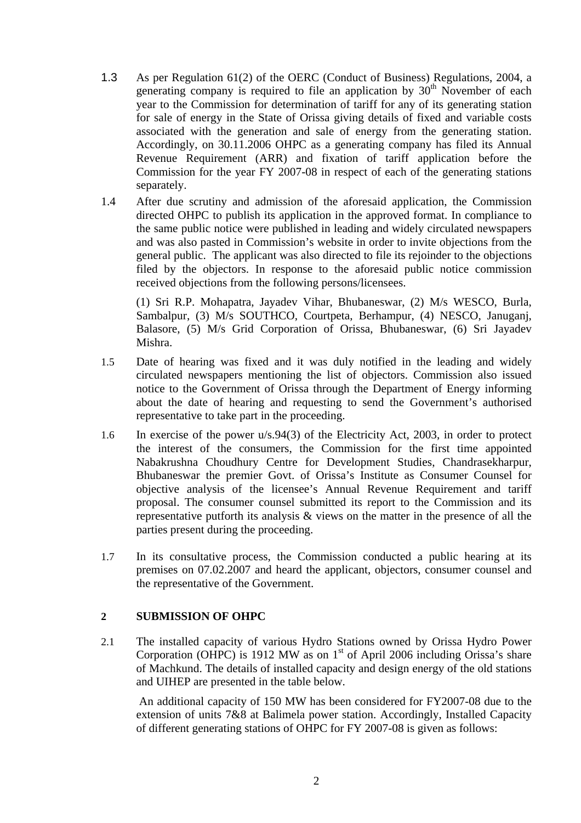- 1.3 As per Regulation 61(2) of the OERC (Conduct of Business) Regulations, 2004, a generating company is required to file an application by  $30<sup>th</sup>$  November of each year to the Commission for determination of tariff for any of its generating station for sale of energy in the State of Orissa giving details of fixed and variable costs associated with the generation and sale of energy from the generating station. Accordingly, on 30.11.2006 OHPC as a generating company has filed its Annual Revenue Requirement (ARR) and fixation of tariff application before the Commission for the year FY 2007-08 in respect of each of the generating stations separately.
- 1.4 After due scrutiny and admission of the aforesaid application, the Commission directed OHPC to publish its application in the approved format. In compliance to the same public notice were published in leading and widely circulated newspapers and was also pasted in Commission's website in order to invite objections from the general public. The applicant was also directed to file its rejoinder to the objections filed by the objectors. In response to the aforesaid public notice commission received objections from the following persons/licensees.

(1) Sri R.P. Mohapatra, Jayadev Vihar, Bhubaneswar, (2) M/s WESCO, Burla, Sambalpur, (3) M/s SOUTHCO, Courtpeta, Berhampur, (4) NESCO, Januganj, Balasore, (5) M/s Grid Corporation of Orissa, Bhubaneswar, (6) Sri Jayadev Mishra.

- 1.5 Date of hearing was fixed and it was duly notified in the leading and widely circulated newspapers mentioning the list of objectors. Commission also issued notice to the Government of Orissa through the Department of Energy informing about the date of hearing and requesting to send the Government's authorised representative to take part in the proceeding.
- 1.6 In exercise of the power u/s.94(3) of the Electricity Act, 2003, in order to protect the interest of the consumers, the Commission for the first time appointed Nabakrushna Choudhury Centre for Development Studies, Chandrasekharpur, Bhubaneswar the premier Govt. of Orissa's Institute as Consumer Counsel for objective analysis of the licensee's Annual Revenue Requirement and tariff proposal. The consumer counsel submitted its report to the Commission and its representative putforth its analysis & views on the matter in the presence of all the parties present during the proceeding.
- 1.7 In its consultative process, the Commission conducted a public hearing at its premises on 07.02.2007 and heard the applicant, objectors, consumer counsel and the representative of the Government.

# **2 SUBMISSION OF OHPC**

2.1 The installed capacity of various Hydro Stations owned by Orissa Hydro Power Corporation (OHPC) is 1912 MW as on  $1<sup>st</sup>$  of April 2006 including Orissa's share of Machkund. The details of installed capacity and design energy of the old stations and UIHEP are presented in the table below.

An additional capacity of 150 MW has been considered for FY2007-08 due to the extension of units 7&8 at Balimela power station. Accordingly, Installed Capacity of different generating stations of OHPC for FY 2007-08 is given as follows: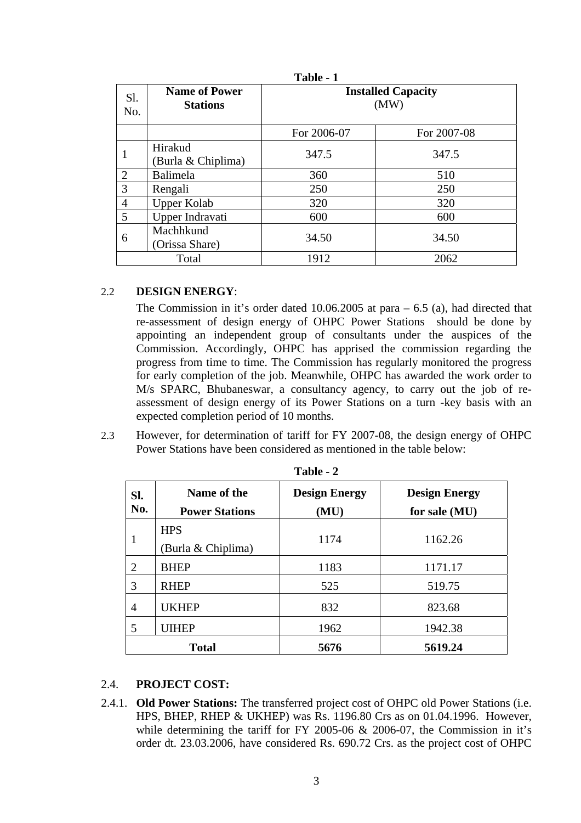|                |                                         | Table - 1                         |             |  |
|----------------|-----------------------------------------|-----------------------------------|-------------|--|
| Sl.<br>No.     | <b>Name of Power</b><br><b>Stations</b> | <b>Installed Capacity</b><br>(MW) |             |  |
|                |                                         | For 2006-07                       | For 2007-08 |  |
|                | Hirakud<br>(Burla & Chiplima)           | 347.5                             | 347.5       |  |
| $\overline{2}$ | Balimela                                | 360                               | 510         |  |
| 3              | Rengali                                 | 250                               | 250         |  |
| $\overline{4}$ | <b>Upper Kolab</b>                      | 320                               | 320         |  |
| 5              | Upper Indravati                         | 600                               | 600         |  |
| 6              | Machhkund<br>(Orissa Share)             | 34.50                             | 34.50       |  |
|                | Total                                   | 1912                              | 2062        |  |

# 2.2 **DESIGN ENERGY**:

The Commission in it's order dated 10.06.2005 at para – 6.5 (a), had directed that re-assessment of design energy of OHPC Power Stations should be done by appointing an independent group of consultants under the auspices of the Commission. Accordingly, OHPC has apprised the commission regarding the progress from time to time. The Commission has regularly monitored the progress for early completion of the job. Meanwhile, OHPC has awarded the work order to M/s SPARC, Bhubaneswar, a consultancy agency, to carry out the job of reassessment of design energy of its Power Stations on a turn -key basis with an expected completion period of 10 months.

2.3 However, for determination of tariff for FY 2007-08, the design energy of OHPC Power Stations have been considered as mentioned in the table below:

| SI.<br>No.     | Name of the<br><b>Power Stations</b> | <b>Design Energy</b><br>(MU) | <b>Design Energy</b><br>for sale (MU) |
|----------------|--------------------------------------|------------------------------|---------------------------------------|
| 1              | <b>HPS</b><br>Burla & Chiplima)      | 1174                         | 1162.26                               |
| $\overline{2}$ | <b>BHEP</b>                          | 1183                         | 1171.17                               |
| 3              | <b>RHEP</b>                          | 525                          | 519.75                                |
| 4              | UKHEP                                | 832                          | 823.68                                |
| 5              | <b>UIHEP</b>                         | 1962                         | 1942.38                               |
|                | <b>Total</b>                         | 5676                         | 5619.24                               |

**Table - 2** 

# 2.4. **PROJECT COST:**

2.4.1. **Old Power Stations:** The transferred project cost of OHPC old Power Stations (i.e. HPS, BHEP, RHEP & UKHEP) was Rs. 1196.80 Crs as on 01.04.1996. However, while determining the tariff for FY 2005-06 & 2006-07, the Commission in it's order dt. 23.03.2006, have considered Rs. 690.72 Crs. as the project cost of OHPC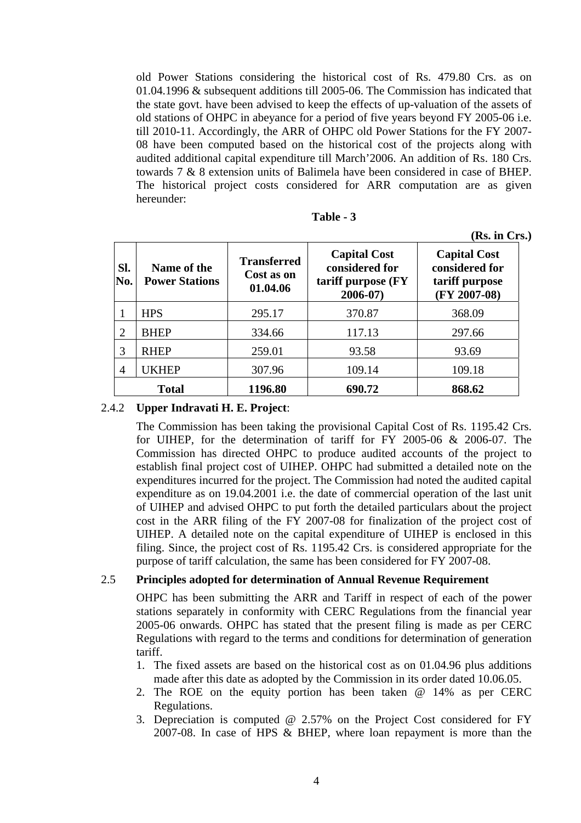old Power Stations considering the historical cost of Rs. 479.80 Crs. as on 01.04.1996 & subsequent additions till 2005-06. The Commission has indicated that the state govt. have been advised to keep the effects of up-valuation of the assets of old stations of OHPC in abeyance for a period of five years beyond FY 2005-06 i.e. till 2010-11. Accordingly, the ARR of OHPC old Power Stations for the FY 2007- 08 have been computed based on the historical cost of the projects along with audited additional capital expenditure till March'2006. An addition of Rs. 180 Crs. towards 7 & 8 extension units of Balimela have been considered in case of BHEP. The historical project costs considered for ARR computation are as given hereunder:

| l'able |  |
|--------|--|
|--------|--|

|                |                                      |                                              |                                                                             | (Rs. in Crs.)                                                             |
|----------------|--------------------------------------|----------------------------------------------|-----------------------------------------------------------------------------|---------------------------------------------------------------------------|
| SI.<br>No.     | Name of the<br><b>Power Stations</b> | <b>Transferred</b><br>Cost as on<br>01.04.06 | <b>Capital Cost</b><br>considered for<br>tariff purpose (FY)<br>$2006 - 07$ | <b>Capital Cost</b><br>considered for<br>tariff purpose<br>$(FY 2007-08)$ |
|                | <b>HPS</b>                           | 295.17                                       | 370.87                                                                      | 368.09                                                                    |
| 2              | <b>BHEP</b>                          | 334.66                                       | 117.13                                                                      | 297.66                                                                    |
| 3              | <b>RHEP</b>                          | 259.01                                       | 93.58                                                                       | 93.69                                                                     |
| $\overline{4}$ | UKHEP                                | 307.96                                       | 109.14                                                                      | 109.18                                                                    |
|                | <b>Total</b>                         | 1196.80                                      | 690.72                                                                      | 868.62                                                                    |

2.4.2 **Upper Indravati H. E. Project**:

The Commission has been taking the provisional Capital Cost of Rs. 1195.42 Crs. for UIHEP, for the determination of tariff for FY 2005-06 & 2006-07. The Commission has directed OHPC to produce audited accounts of the project to establish final project cost of UIHEP. OHPC had submitted a detailed note on the expenditures incurred for the project. The Commission had noted the audited capital expenditure as on 19.04.2001 i.e. the date of commercial operation of the last unit of UIHEP and advised OHPC to put forth the detailed particulars about the project cost in the ARR filing of the FY 2007-08 for finalization of the project cost of UIHEP. A detailed note on the capital expenditure of UIHEP is enclosed in this filing. Since, the project cost of Rs. 1195.42 Crs. is considered appropriate for the purpose of tariff calculation, the same has been considered for FY 2007-08.

### 2.5 **Principles adopted for determination of Annual Revenue Requirement**

OHPC has been submitting the ARR and Tariff in respect of each of the power stations separately in conformity with CERC Regulations from the financial year 2005-06 onwards. OHPC has stated that the present filing is made as per CERC Regulations with regard to the terms and conditions for determination of generation tariff.

- 1. The fixed assets are based on the historical cost as on 01.04.96 plus additions made after this date as adopted by the Commission in its order dated 10.06.05.
- 2. The ROE on the equity portion has been taken @ 14% as per CERC Regulations.
- 3. Depreciation is computed @ 2.57% on the Project Cost considered for FY 2007-08. In case of HPS & BHEP, where loan repayment is more than the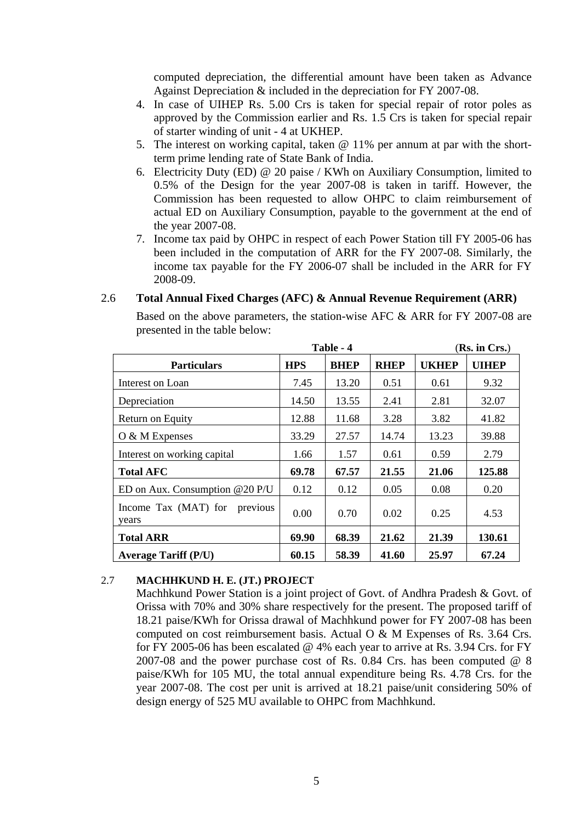computed depreciation, the differential amount have been taken as Advance Against Depreciation & included in the depreciation for FY 2007-08.

- 4. In case of UIHEP Rs. 5.00 Crs is taken for special repair of rotor poles as approved by the Commission earlier and Rs. 1.5 Crs is taken for special repair of starter winding of unit - 4 at UKHEP.
- 5. The interest on working capital, taken @ 11% per annum at par with the shortterm prime lending rate of State Bank of India.
- 6. Electricity Duty (ED) @ 20 paise / KWh on Auxiliary Consumption, limited to 0.5% of the Design for the year 2007-08 is taken in tariff. However, the Commission has been requested to allow OHPC to claim reimbursement of actual ED on Auxiliary Consumption, payable to the government at the end of the year 2007-08.
- 7. Income tax paid by OHPC in respect of each Power Station till FY 2005-06 has been included in the computation of ARR for the FY 2007-08. Similarly, the income tax payable for the FY 2006-07 shall be included in the ARR for FY 2008-09.

|                                        |            | Table - 4   |             |              | (Rs. in Crs.) |
|----------------------------------------|------------|-------------|-------------|--------------|---------------|
| <b>Particulars</b>                     | <b>HPS</b> | <b>BHEP</b> | <b>RHEP</b> | <b>UKHEP</b> | <b>UIHEP</b>  |
| Interest on Loan                       | 7.45       | 13.20       | 0.51        | 0.61         | 9.32          |
| Depreciation                           | 14.50      | 13.55       | 2.41        | 2.81         | 32.07         |
| Return on Equity                       | 12.88      | 11.68       | 3.28        | 3.82         | 41.82         |
| $O & M$ Expenses                       | 33.29      | 27.57       | 14.74       | 13.23        | 39.88         |
| Interest on working capital            | 1.66       | 1.57        | 0.61        | 0.59         | 2.79          |
| <b>Total AFC</b>                       | 69.78      | 67.57       | 21.55       | 21.06        | 125.88        |
| ED on Aux. Consumption $@20$ P/U       | 0.12       | 0.12        | 0.05        | 0.08         | 0.20          |
| Income Tax (MAT) for previous<br>years | 0.00       | 0.70        | 0.02        | 0.25         | 4.53          |
| <b>Total ARR</b>                       | 69.90      | 68.39       | 21.62       | 21.39        | 130.61        |
| <b>Average Tariff (P/U)</b>            | 60.15      | 58.39       | 41.60       | 25.97        | 67.24         |

### 2.6 **Total Annual Fixed Charges (AFC) & Annual Revenue Requirement (ARR)**

Based on the above parameters, the station-wise AFC & ARR for FY 2007-08 are presented in the table below:

# 2.7 **MACHHKUND H. E. (JT.) PROJECT**

Machhkund Power Station is a joint project of Govt. of Andhra Pradesh & Govt. of Orissa with 70% and 30% share respectively for the present. The proposed tariff of 18.21 paise/KWh for Orissa drawal of Machhkund power for FY 2007-08 has been computed on cost reimbursement basis. Actual O & M Expenses of Rs. 3.64 Crs. for FY 2005-06 has been escalated @ 4% each year to arrive at Rs. 3.94 Crs. for FY 2007-08 and the power purchase cost of Rs. 0.84 Crs. has been computed @ 8 paise/KWh for 105 MU, the total annual expenditure being Rs. 4.78 Crs. for the year 2007-08. The cost per unit is arrived at 18.21 paise/unit considering 50% of design energy of 525 MU available to OHPC from Machhkund.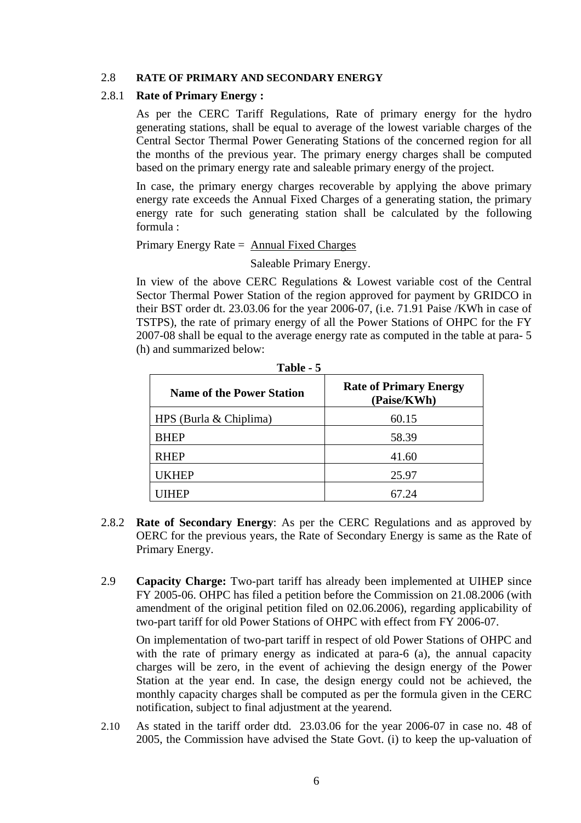### 2.8 **RATE OF PRIMARY AND SECONDARY ENERGY**

### 2.8.1 **Rate of Primary Energy :**

As per the CERC Tariff Regulations, Rate of primary energy for the hydro generating stations, shall be equal to average of the lowest variable charges of the Central Sector Thermal Power Generating Stations of the concerned region for all the months of the previous year. The primary energy charges shall be computed based on the primary energy rate and saleable primary energy of the project.

In case, the primary energy charges recoverable by applying the above primary energy rate exceeds the Annual Fixed Charges of a generating station, the primary energy rate for such generating station shall be calculated by the following formula :

Primary Energy Rate = Annual Fixed Charges

Saleable Primary Energy.

In view of the above CERC Regulations & Lowest variable cost of the Central Sector Thermal Power Station of the region approved for payment by GRIDCO in their BST order dt. 23.03.06 for the year 2006-07, (i.e. 71.91 Paise /KWh in case of TSTPS), the rate of primary energy of all the Power Stations of OHPC for the FY 2007-08 shall be equal to the average energy rate as computed in the table at para- 5 (h) and summarized below:

| 1 avie - 5                       |                                              |  |  |  |
|----------------------------------|----------------------------------------------|--|--|--|
| <b>Name of the Power Station</b> | <b>Rate of Primary Energy</b><br>(Paise/KWh) |  |  |  |
| HPS (Burla $& Chiplima$ )        | 60.15                                        |  |  |  |
| <b>BHEP</b>                      | 58.39                                        |  |  |  |
| <b>RHEP</b>                      | 41.60                                        |  |  |  |
| UKHEP                            | 25.97                                        |  |  |  |
|                                  | 67.24                                        |  |  |  |

**Table - 5** 

- 2.8.2 **Rate of Secondary Energy**: As per the CERC Regulations and as approved by OERC for the previous years, the Rate of Secondary Energy is same as the Rate of Primary Energy.
- 2.9 **Capacity Charge:** Two-part tariff has already been implemented at UIHEP since FY 2005-06. OHPC has filed a petition before the Commission on 21.08.2006 (with amendment of the original petition filed on 02.06.2006), regarding applicability of two-part tariff for old Power Stations of OHPC with effect from FY 2006-07.

On implementation of two-part tariff in respect of old Power Stations of OHPC and with the rate of primary energy as indicated at para-6 (a), the annual capacity charges will be zero, in the event of achieving the design energy of the Power Station at the year end. In case, the design energy could not be achieved, the monthly capacity charges shall be computed as per the formula given in the CERC notification, subject to final adjustment at the yearend.

2.10 As stated in the tariff order dtd. 23.03.06 for the year 2006-07 in case no. 48 of 2005, the Commission have advised the State Govt. (i) to keep the up-valuation of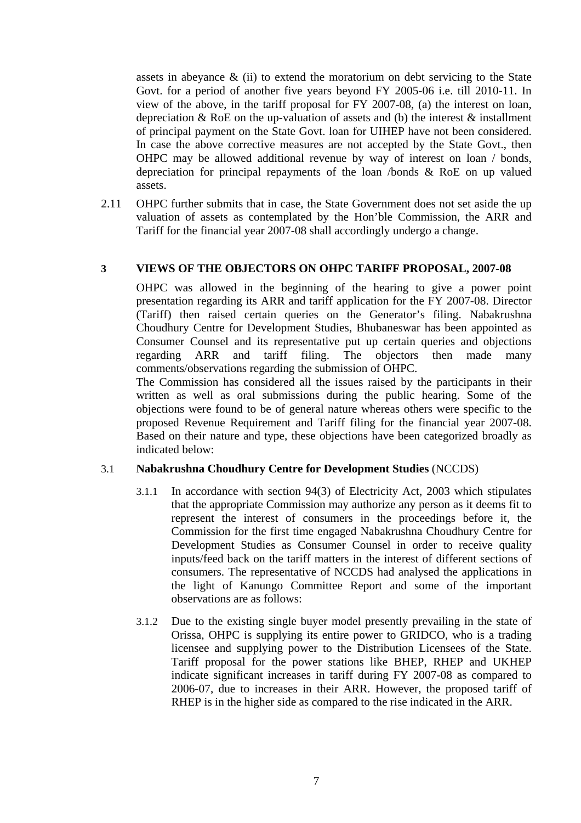assets in abeyance  $\&$  (ii) to extend the moratorium on debt servicing to the State Govt. for a period of another five years beyond FY 2005-06 i.e. till 2010-11. In view of the above, in the tariff proposal for FY 2007-08, (a) the interest on loan, depreciation & RoE on the up-valuation of assets and (b) the interest & installment of principal payment on the State Govt. loan for UIHEP have not been considered. In case the above corrective measures are not accepted by the State Govt., then OHPC may be allowed additional revenue by way of interest on loan / bonds, depreciation for principal repayments of the loan /bonds & RoE on up valued assets.

2.11 OHPC further submits that in case, the State Government does not set aside the up valuation of assets as contemplated by the Hon'ble Commission, the ARR and Tariff for the financial year 2007-08 shall accordingly undergo a change.

# **3 VIEWS OF THE OBJECTORS ON OHPC TARIFF PROPOSAL, 2007-08**

OHPC was allowed in the beginning of the hearing to give a power point presentation regarding its ARR and tariff application for the FY 2007-08. Director (Tariff) then raised certain queries on the Generator's filing. Nabakrushna Choudhury Centre for Development Studies, Bhubaneswar has been appointed as Consumer Counsel and its representative put up certain queries and objections regarding ARR and tariff filing. The objectors then made many comments/observations regarding the submission of OHPC.

The Commission has considered all the issues raised by the participants in their written as well as oral submissions during the public hearing. Some of the objections were found to be of general nature whereas others were specific to the proposed Revenue Requirement and Tariff filing for the financial year 2007-08. Based on their nature and type, these objections have been categorized broadly as indicated below:

# 3.1 **Nabakrushna Choudhury Centre for Development Studies** (NCCDS)

- 3.1.1 In accordance with section 94(3) of Electricity Act, 2003 which stipulates that the appropriate Commission may authorize any person as it deems fit to represent the interest of consumers in the proceedings before it, the Commission for the first time engaged Nabakrushna Choudhury Centre for Development Studies as Consumer Counsel in order to receive quality inputs/feed back on the tariff matters in the interest of different sections of consumers. The representative of NCCDS had analysed the applications in the light of Kanungo Committee Report and some of the important observations are as follows:
- 3.1.2 Due to the existing single buyer model presently prevailing in the state of Orissa, OHPC is supplying its entire power to GRIDCO, who is a trading licensee and supplying power to the Distribution Licensees of the State. Tariff proposal for the power stations like BHEP, RHEP and UKHEP indicate significant increases in tariff during FY 2007-08 as compared to 2006-07, due to increases in their ARR. However, the proposed tariff of RHEP is in the higher side as compared to the rise indicated in the ARR.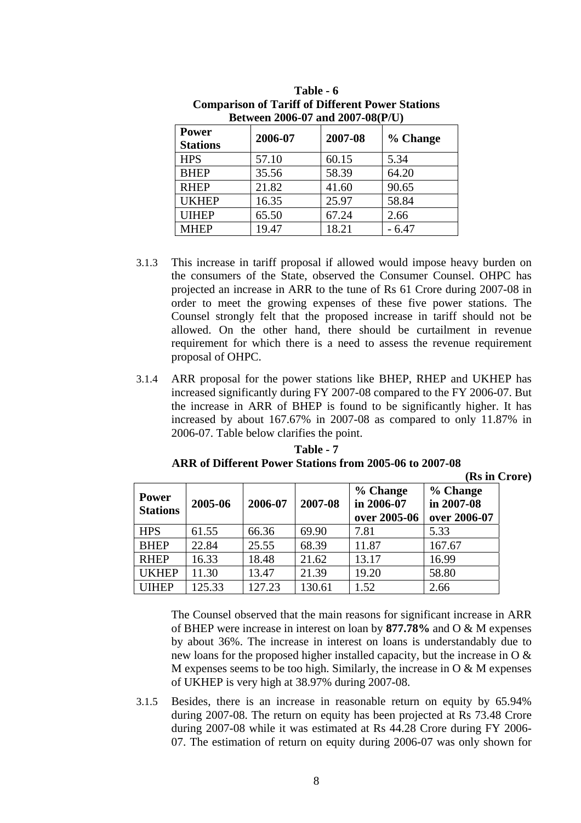| <b>Power</b><br><b>Stations</b> | 2006-07 | 2007-08 | % Change |
|---------------------------------|---------|---------|----------|
| <b>HPS</b>                      | 57.10   | 60.15   | 5.34     |
| <b>BHEP</b>                     | 35.56   | 58.39   | 64.20    |
| <b>RHEP</b>                     | 21.82   | 41.60   | 90.65    |
| <b>UKHEP</b>                    | 16.35   | 25.97   | 58.84    |
| <b>UIHEP</b>                    | 65.50   | 67.24   | 2.66     |
| <b>MHEP</b>                     | 19.47   | 18.21   | - 6.47   |

| Table - 6                                               |
|---------------------------------------------------------|
| <b>Comparison of Tariff of Different Power Stations</b> |
| Between 2006-07 and 2007-08(P/U)                        |

- 3.1.3 This increase in tariff proposal if allowed would impose heavy burden on the consumers of the State, observed the Consumer Counsel. OHPC has projected an increase in ARR to the tune of Rs 61 Crore during 2007-08 in order to meet the growing expenses of these five power stations. The Counsel strongly felt that the proposed increase in tariff should not be allowed. On the other hand, there should be curtailment in revenue requirement for which there is a need to assess the revenue requirement proposal of OHPC.
- 3.1.4 ARR proposal for the power stations like BHEP, RHEP and UKHEP has increased significantly during FY 2007-08 compared to the FY 2006-07. But the increase in ARR of BHEP is found to be significantly higher. It has increased by about 167.67% in 2007-08 as compared to only 11.87% in 2006-07. Table below clarifies the point.

|                                 |         |         |         |                                        | (Rs in Crore)                          |  |
|---------------------------------|---------|---------|---------|----------------------------------------|----------------------------------------|--|
| <b>Power</b><br><b>Stations</b> | 2005-06 | 2006-07 | 2007-08 | % Change<br>in 2006-07<br>over 2005-06 | % Change<br>in 2007-08<br>over 2006-07 |  |
| <b>HPS</b>                      | 61.55   | 66.36   | 69.90   | 7.81                                   | 5.33                                   |  |
| <b>BHEP</b>                     | 22.84   | 25.55   | 68.39   | 11.87                                  | 167.67                                 |  |
| <b>RHEP</b>                     | 16.33   | 18.48   | 21.62   | 13.17                                  | 16.99                                  |  |
| <b>UKHEP</b>                    | 11.30   | 13.47   | 21.39   | 19.20                                  | 58.80                                  |  |
| <b>UIHEP</b>                    | 125.33  | 127.23  | 130.61  | 1.52                                   | 2.66                                   |  |

**Table - 7 ARR of Different Power Stations from 2005-06 to 2007-08** 

The Counsel observed that the main reasons for significant increase in ARR of BHEP were increase in interest on loan by **877.78%** and O & M expenses by about 36%. The increase in interest on loans is understandably due to new loans for the proposed higher installed capacity, but the increase in O & M expenses seems to be too high. Similarly, the increase in  $\overline{O} \& M$  expenses of UKHEP is very high at 38.97% during 2007-08.

3.1.5 Besides, there is an increase in reasonable return on equity by 65.94% during 2007-08. The return on equity has been projected at Rs 73.48 Crore during 2007-08 while it was estimated at Rs 44.28 Crore during FY 2006- 07. The estimation of return on equity during 2006-07 was only shown for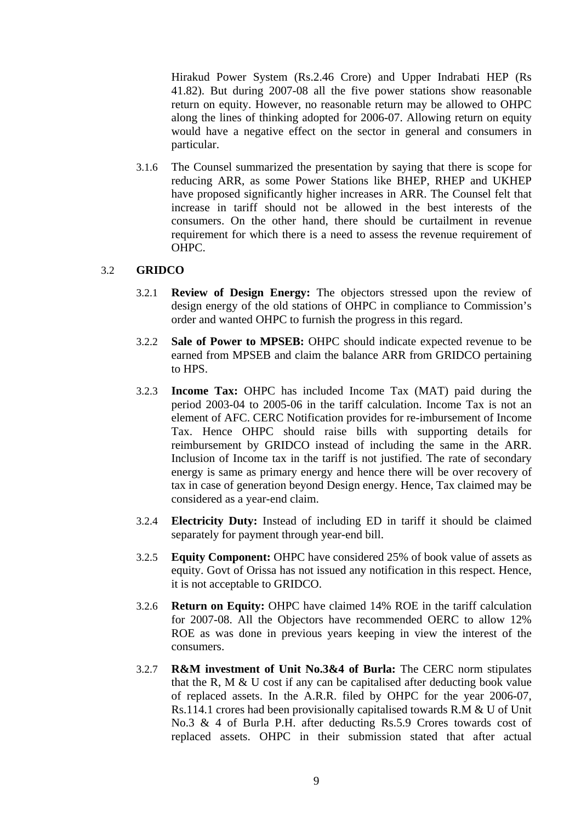Hirakud Power System (Rs.2.46 Crore) and Upper Indrabati HEP (Rs 41.82). But during 2007-08 all the five power stations show reasonable return on equity. However, no reasonable return may be allowed to OHPC along the lines of thinking adopted for 2006-07. Allowing return on equity would have a negative effect on the sector in general and consumers in particular.

3.1.6 The Counsel summarized the presentation by saying that there is scope for reducing ARR, as some Power Stations like BHEP, RHEP and UKHEP have proposed significantly higher increases in ARR. The Counsel felt that increase in tariff should not be allowed in the best interests of the consumers. On the other hand, there should be curtailment in revenue requirement for which there is a need to assess the revenue requirement of OHPC.

### 3.2 **GRIDCO**

- 3.2.1 **Review of Design Energy:** The objectors stressed upon the review of design energy of the old stations of OHPC in compliance to Commission's order and wanted OHPC to furnish the progress in this regard.
- 3.2.2 **Sale of Power to MPSEB:** OHPC should indicate expected revenue to be earned from MPSEB and claim the balance ARR from GRIDCO pertaining to HPS.
- 3.2.3 **Income Tax:** OHPC has included Income Tax (MAT) paid during the period 2003-04 to 2005-06 in the tariff calculation. Income Tax is not an element of AFC. CERC Notification provides for re-imbursement of Income Tax. Hence OHPC should raise bills with supporting details for reimbursement by GRIDCO instead of including the same in the ARR. Inclusion of Income tax in the tariff is not justified. The rate of secondary energy is same as primary energy and hence there will be over recovery of tax in case of generation beyond Design energy. Hence, Tax claimed may be considered as a year-end claim.
- 3.2.4 **Electricity Duty:** Instead of including ED in tariff it should be claimed separately for payment through year-end bill.
- 3.2.5 **Equity Component:** OHPC have considered 25% of book value of assets as equity. Govt of Orissa has not issued any notification in this respect. Hence, it is not acceptable to GRIDCO.
- 3.2.6 **Return on Equity:** OHPC have claimed 14% ROE in the tariff calculation for 2007-08. All the Objectors have recommended OERC to allow 12% ROE as was done in previous years keeping in view the interest of the consumers.
- 3.2.7 **R&M investment of Unit No.3&4 of Burla:** The CERC norm stipulates that the R, M  $&$  U cost if any can be capitalised after deducting book value of replaced assets. In the A.R.R. filed by OHPC for the year 2006-07, Rs.114.1 crores had been provisionally capitalised towards R.M & U of Unit No.3 & 4 of Burla P.H. after deducting Rs.5.9 Crores towards cost of replaced assets. OHPC in their submission stated that after actual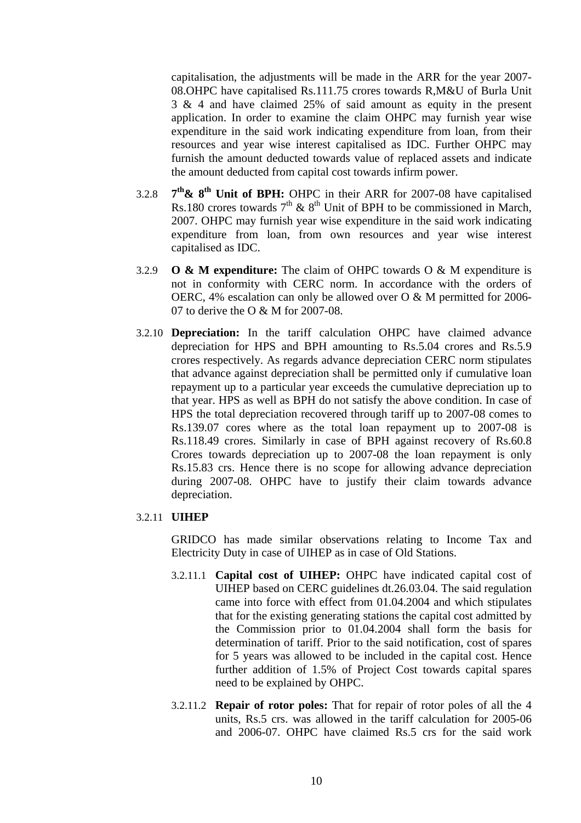capitalisation, the adjustments will be made in the ARR for the year 2007- 08.OHPC have capitalised Rs.111.75 crores towards R,M&U of Burla Unit 3 & 4 and have claimed 25% of said amount as equity in the present application. In order to examine the claim OHPC may furnish year wise expenditure in the said work indicating expenditure from loan, from their resources and year wise interest capitalised as IDC. Further OHPC may furnish the amount deducted towards value of replaced assets and indicate the amount deducted from capital cost towards infirm power.

- 3.2.8 **7th& 8th Unit of BPH:** OHPC in their ARR for 2007-08 have capitalised Rs.180 crores towards  $7<sup>th</sup>$  &  $8<sup>th</sup>$  Unit of BPH to be commissioned in March, 2007. OHPC may furnish year wise expenditure in the said work indicating expenditure from loan, from own resources and year wise interest capitalised as IDC.
- 3.2.9 **O & M expenditure:** The claim of OHPC towards O & M expenditure is not in conformity with CERC norm. In accordance with the orders of OERC, 4% escalation can only be allowed over O & M permitted for 2006- 07 to derive the O & M for 2007-08.
- 3.2.10 **Depreciation:** In the tariff calculation OHPC have claimed advance depreciation for HPS and BPH amounting to Rs.5.04 crores and Rs.5.9 crores respectively. As regards advance depreciation CERC norm stipulates that advance against depreciation shall be permitted only if cumulative loan repayment up to a particular year exceeds the cumulative depreciation up to that year. HPS as well as BPH do not satisfy the above condition. In case of HPS the total depreciation recovered through tariff up to 2007-08 comes to Rs.139.07 cores where as the total loan repayment up to 2007-08 is Rs.118.49 crores. Similarly in case of BPH against recovery of Rs.60.8 Crores towards depreciation up to 2007-08 the loan repayment is only Rs.15.83 crs. Hence there is no scope for allowing advance depreciation during 2007-08. OHPC have to justify their claim towards advance depreciation.

### 3.2.11 **UIHEP**

GRIDCO has made similar observations relating to Income Tax and Electricity Duty in case of UIHEP as in case of Old Stations.

- 3.2.11.1 **Capital cost of UIHEP:** OHPC have indicated capital cost of UIHEP based on CERC guidelines dt.26.03.04. The said regulation came into force with effect from 01.04.2004 and which stipulates that for the existing generating stations the capital cost admitted by the Commission prior to 01.04.2004 shall form the basis for determination of tariff. Prior to the said notification, cost of spares for 5 years was allowed to be included in the capital cost. Hence further addition of 1.5% of Project Cost towards capital spares need to be explained by OHPC.
- 3.2.11.2 **Repair of rotor poles:** That for repair of rotor poles of all the 4 units, Rs.5 crs. was allowed in the tariff calculation for 2005-06 and 2006-07. OHPC have claimed Rs.5 crs for the said work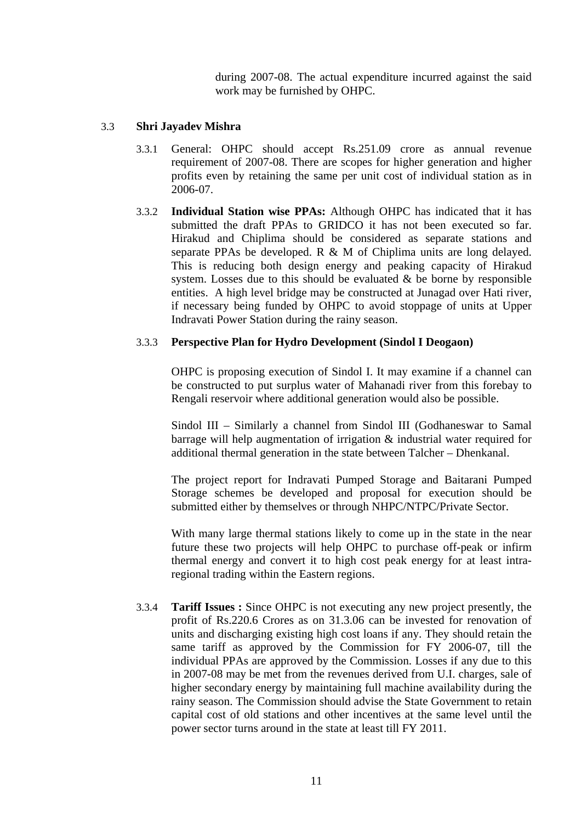during 2007-08. The actual expenditure incurred against the said work may be furnished by OHPC.

# 3.3 **Shri Jayadev Mishra**

- 3.3.1 General: OHPC should accept Rs.251.09 crore as annual revenue requirement of 2007-08. There are scopes for higher generation and higher profits even by retaining the same per unit cost of individual station as in 2006-07.
- 3.3.2 **Individual Station wise PPAs:** Although OHPC has indicated that it has submitted the draft PPAs to GRIDCO it has not been executed so far. Hirakud and Chiplima should be considered as separate stations and separate PPAs be developed. R & M of Chiplima units are long delayed. This is reducing both design energy and peaking capacity of Hirakud system. Losses due to this should be evaluated  $\&$  be borne by responsible entities. A high level bridge may be constructed at Junagad over Hati river, if necessary being funded by OHPC to avoid stoppage of units at Upper Indravati Power Station during the rainy season.

# 3.3.3 **Perspective Plan for Hydro Development (Sindol I Deogaon)**

OHPC is proposing execution of Sindol I. It may examine if a channel can be constructed to put surplus water of Mahanadi river from this forebay to Rengali reservoir where additional generation would also be possible.

Sindol III – Similarly a channel from Sindol III (Godhaneswar to Samal barrage will help augmentation of irrigation & industrial water required for additional thermal generation in the state between Talcher – Dhenkanal.

The project report for Indravati Pumped Storage and Baitarani Pumped Storage schemes be developed and proposal for execution should be submitted either by themselves or through NHPC/NTPC/Private Sector.

With many large thermal stations likely to come up in the state in the near future these two projects will help OHPC to purchase off-peak or infirm thermal energy and convert it to high cost peak energy for at least intraregional trading within the Eastern regions.

3.3.4 **Tariff Issues :** Since OHPC is not executing any new project presently, the profit of Rs.220.6 Crores as on 31.3.06 can be invested for renovation of units and discharging existing high cost loans if any. They should retain the same tariff as approved by the Commission for FY 2006-07, till the individual PPAs are approved by the Commission. Losses if any due to this in 2007-08 may be met from the revenues derived from U.I. charges, sale of higher secondary energy by maintaining full machine availability during the rainy season. The Commission should advise the State Government to retain capital cost of old stations and other incentives at the same level until the power sector turns around in the state at least till FY 2011.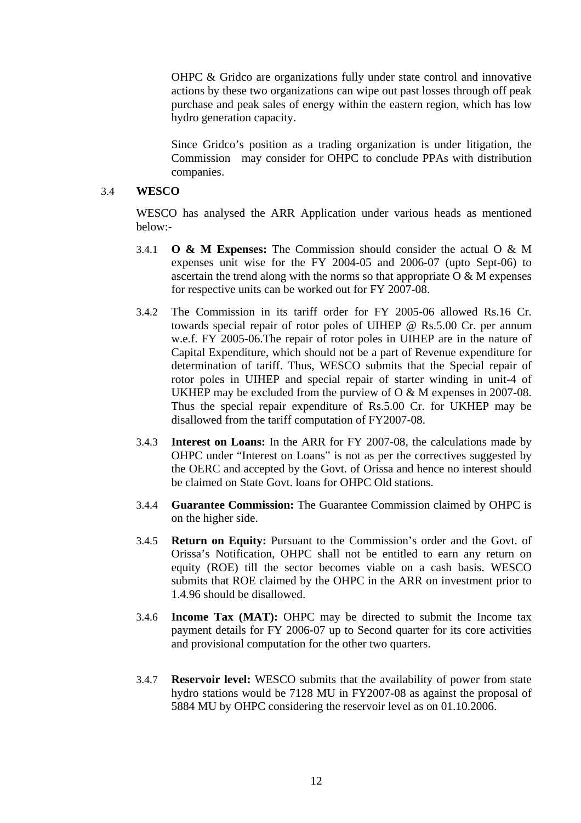OHPC & Gridco are organizations fully under state control and innovative actions by these two organizations can wipe out past losses through off peak purchase and peak sales of energy within the eastern region, which has low hydro generation capacity.

Since Gridco's position as a trading organization is under litigation, the Commission may consider for OHPC to conclude PPAs with distribution companies.

### 3.4 **WESCO**

WESCO has analysed the ARR Application under various heads as mentioned below:-

- 3.4.1 **O & M Expenses:** The Commission should consider the actual O & M expenses unit wise for the FY 2004-05 and 2006-07 (upto Sept-06) to ascertain the trend along with the norms so that appropriate  $O & M$  expenses for respective units can be worked out for FY 2007-08.
- 3.4.2 The Commission in its tariff order for FY 2005-06 allowed Rs.16 Cr. towards special repair of rotor poles of UIHEP @ Rs.5.00 Cr. per annum w.e.f. FY 2005-06.The repair of rotor poles in UIHEP are in the nature of Capital Expenditure, which should not be a part of Revenue expenditure for determination of tariff. Thus, WESCO submits that the Special repair of rotor poles in UIHEP and special repair of starter winding in unit-4 of UKHEP may be excluded from the purview of O & M expenses in 2007-08. Thus the special repair expenditure of Rs.5.00 Cr. for UKHEP may be disallowed from the tariff computation of FY2007-08.
- 3.4.3 **Interest on Loans:** In the ARR for FY 2007-08, the calculations made by OHPC under "Interest on Loans" is not as per the correctives suggested by the OERC and accepted by the Govt. of Orissa and hence no interest should be claimed on State Govt. loans for OHPC Old stations.
- 3.4.4 **Guarantee Commission:** The Guarantee Commission claimed by OHPC is on the higher side.
- 3.4.5 **Return on Equity:** Pursuant to the Commission's order and the Govt. of Orissa's Notification, OHPC shall not be entitled to earn any return on equity (ROE) till the sector becomes viable on a cash basis. WESCO submits that ROE claimed by the OHPC in the ARR on investment prior to 1.4.96 should be disallowed.
- 3.4.6 **Income Tax (MAT):** OHPC may be directed to submit the Income tax payment details for FY 2006-07 up to Second quarter for its core activities and provisional computation for the other two quarters.
- 3.4.7 **Reservoir level:** WESCO submits that the availability of power from state hydro stations would be 7128 MU in FY2007-08 as against the proposal of 5884 MU by OHPC considering the reservoir level as on 01.10.2006.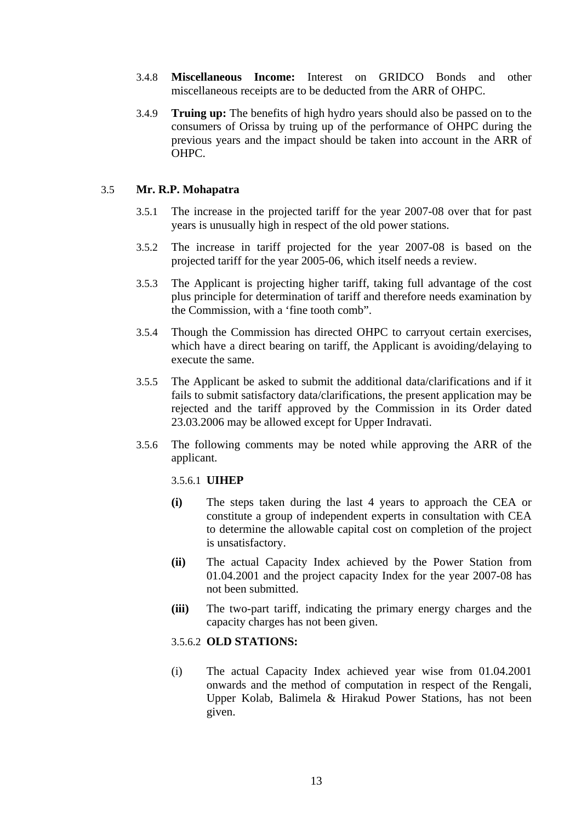- 3.4.8 **Miscellaneous Income:** Interest on GRIDCO Bonds and other miscellaneous receipts are to be deducted from the ARR of OHPC.
- 3.4.9 **Truing up:** The benefits of high hydro years should also be passed on to the consumers of Orissa by truing up of the performance of OHPC during the previous years and the impact should be taken into account in the ARR of OHPC.

# 3.5 **Mr. R.P. Mohapatra**

- 3.5.1 The increase in the projected tariff for the year 2007-08 over that for past years is unusually high in respect of the old power stations.
- 3.5.2 The increase in tariff projected for the year 2007-08 is based on the projected tariff for the year 2005-06, which itself needs a review.
- 3.5.3 The Applicant is projecting higher tariff, taking full advantage of the cost plus principle for determination of tariff and therefore needs examination by the Commission, with a 'fine tooth comb".
- 3.5.4 Though the Commission has directed OHPC to carryout certain exercises, which have a direct bearing on tariff, the Applicant is avoiding/delaying to execute the same.
- 3.5.5 The Applicant be asked to submit the additional data/clarifications and if it fails to submit satisfactory data/clarifications, the present application may be rejected and the tariff approved by the Commission in its Order dated 23.03.2006 may be allowed except for Upper Indravati.
- 3.5.6 The following comments may be noted while approving the ARR of the applicant.

# 3.5.6.1 **UIHEP**

- **(i)** The steps taken during the last 4 years to approach the CEA or constitute a group of independent experts in consultation with CEA to determine the allowable capital cost on completion of the project is unsatisfactory.
- **(ii)** The actual Capacity Index achieved by the Power Station from 01.04.2001 and the project capacity Index for the year 2007-08 has not been submitted.
- **(iii)** The two-part tariff, indicating the primary energy charges and the capacity charges has not been given.

# 3.5.6.2 **OLD STATIONS:**

(i) The actual Capacity Index achieved year wise from 01.04.2001 onwards and the method of computation in respect of the Rengali, Upper Kolab, Balimela & Hirakud Power Stations, has not been given.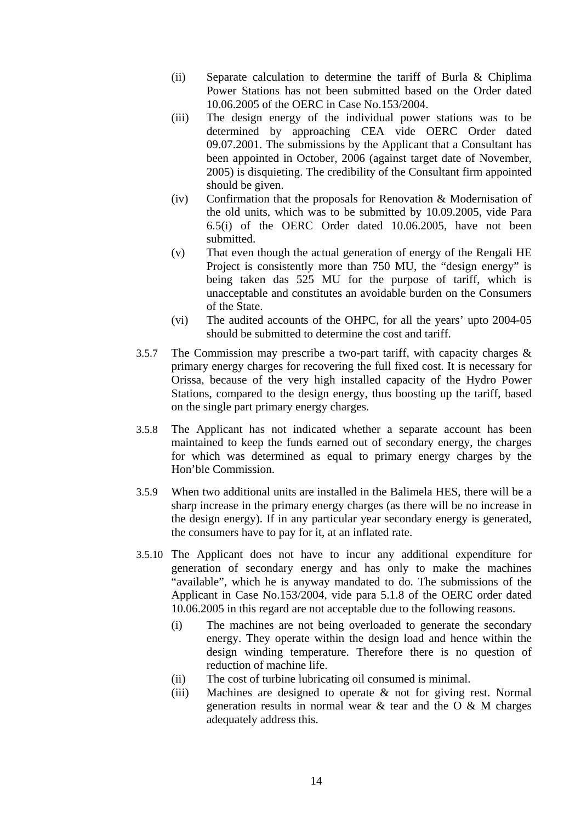- (ii) Separate calculation to determine the tariff of Burla & Chiplima Power Stations has not been submitted based on the Order dated 10.06.2005 of the OERC in Case No.153/2004.
- (iii) The design energy of the individual power stations was to be determined by approaching CEA vide OERC Order dated 09.07.2001. The submissions by the Applicant that a Consultant has been appointed in October, 2006 (against target date of November, 2005) is disquieting. The credibility of the Consultant firm appointed should be given.
- (iv) Confirmation that the proposals for Renovation & Modernisation of the old units, which was to be submitted by 10.09.2005, vide Para 6.5(i) of the OERC Order dated 10.06.2005, have not been submitted.
- (v) That even though the actual generation of energy of the Rengali HE Project is consistently more than 750 MU, the "design energy" is being taken das 525 MU for the purpose of tariff, which is unacceptable and constitutes an avoidable burden on the Consumers of the State.
- (vi) The audited accounts of the OHPC, for all the years' upto 2004-05 should be submitted to determine the cost and tariff.
- 3.5.7 The Commission may prescribe a two-part tariff, with capacity charges & primary energy charges for recovering the full fixed cost. It is necessary for Orissa, because of the very high installed capacity of the Hydro Power Stations, compared to the design energy, thus boosting up the tariff, based on the single part primary energy charges.
- 3.5.8 The Applicant has not indicated whether a separate account has been maintained to keep the funds earned out of secondary energy, the charges for which was determined as equal to primary energy charges by the Hon'ble Commission.
- 3.5.9 When two additional units are installed in the Balimela HES, there will be a sharp increase in the primary energy charges (as there will be no increase in the design energy). If in any particular year secondary energy is generated, the consumers have to pay for it, at an inflated rate.
- 3.5.10 The Applicant does not have to incur any additional expenditure for generation of secondary energy and has only to make the machines "available", which he is anyway mandated to do. The submissions of the Applicant in Case No.153/2004, vide para 5.1.8 of the OERC order dated 10.06.2005 in this regard are not acceptable due to the following reasons.
	- (i) The machines are not being overloaded to generate the secondary energy. They operate within the design load and hence within the design winding temperature. Therefore there is no question of reduction of machine life.
	- (ii) The cost of turbine lubricating oil consumed is minimal.
	- (iii) Machines are designed to operate & not for giving rest. Normal generation results in normal wear  $\&$  tear and the O  $\&$  M charges adequately address this.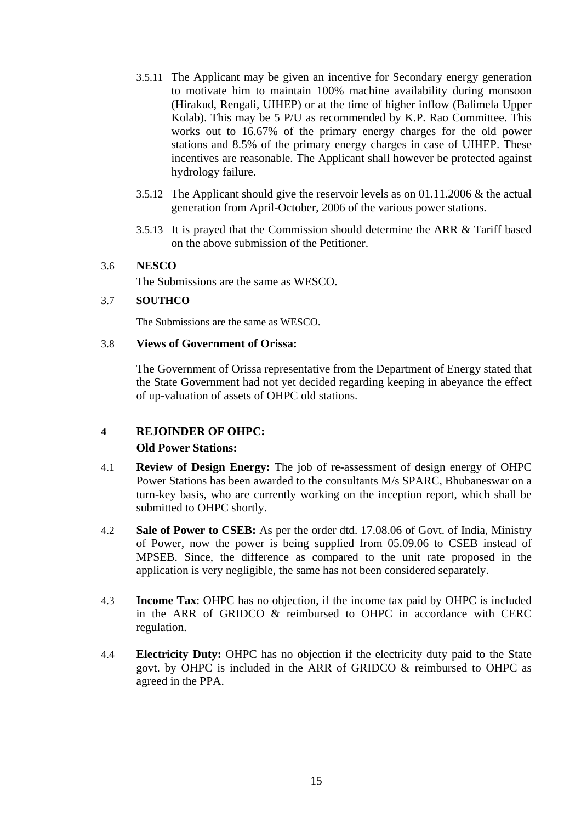- 3.5.11 The Applicant may be given an incentive for Secondary energy generation to motivate him to maintain 100% machine availability during monsoon (Hirakud, Rengali, UIHEP) or at the time of higher inflow (Balimela Upper Kolab). This may be 5 P/U as recommended by K.P. Rao Committee. This works out to 16.67% of the primary energy charges for the old power stations and 8.5% of the primary energy charges in case of UIHEP. These incentives are reasonable. The Applicant shall however be protected against hydrology failure.
- 3.5.12 The Applicant should give the reservoir levels as on 01.11.2006 & the actual generation from April-October, 2006 of the various power stations.
- 3.5.13 It is prayed that the Commission should determine the ARR & Tariff based on the above submission of the Petitioner.

# 3.6 **NESCO**

The Submissions are the same as WESCO.

### 3.7 **SOUTHCO**

The Submissions are the same as WESCO.

### 3.8 **Views of Government of Orissa:**

The Government of Orissa representative from the Department of Energy stated that the State Government had not yet decided regarding keeping in abeyance the effect of up-valuation of assets of OHPC old stations.

# **4 REJOINDER OF OHPC:**

# **Old Power Stations:**

- 4.1 **Review of Design Energy:** The job of re-assessment of design energy of OHPC Power Stations has been awarded to the consultants M/s SPARC, Bhubaneswar on a turn-key basis, who are currently working on the inception report, which shall be submitted to OHPC shortly.
- 4.2 **Sale of Power to CSEB:** As per the order dtd. 17.08.06 of Govt. of India, Ministry of Power, now the power is being supplied from 05.09.06 to CSEB instead of MPSEB. Since, the difference as compared to the unit rate proposed in the application is very negligible, the same has not been considered separately.
- 4.3 **Income Tax**: OHPC has no objection, if the income tax paid by OHPC is included in the ARR of GRIDCO & reimbursed to OHPC in accordance with CERC regulation.
- 4.4 **Electricity Duty:** OHPC has no objection if the electricity duty paid to the State govt. by OHPC is included in the ARR of GRIDCO & reimbursed to OHPC as agreed in the PPA.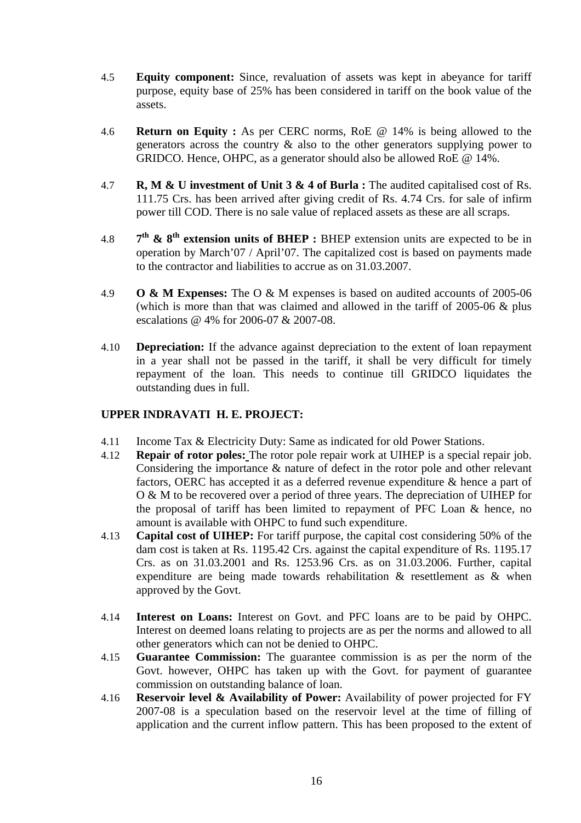- 4.5 **Equity component:** Since, revaluation of assets was kept in abeyance for tariff purpose, equity base of 25% has been considered in tariff on the book value of the assets.
- 4.6 **Return on Equity :** As per CERC norms, RoE @ 14% is being allowed to the generators across the country & also to the other generators supplying power to GRIDCO. Hence, OHPC, as a generator should also be allowed RoE @ 14%.
- 4.7 **R, M & U investment of Unit 3 & 4 of Burla :** The audited capitalised cost of Rs. 111.75 Crs. has been arrived after giving credit of Rs. 4.74 Crs. for sale of infirm power till COD. There is no sale value of replaced assets as these are all scraps.
- 4.8 **7th & 8th extension units of BHEP :** BHEP extension units are expected to be in operation by March'07 / April'07. The capitalized cost is based on payments made to the contractor and liabilities to accrue as on 31.03.2007.
- 4.9 **O & M Expenses:** The O & M expenses is based on audited accounts of 2005-06 (which is more than that was claimed and allowed in the tariff of  $2005-06 \&$  plus escalations @ 4% for 2006-07 & 2007-08.
- 4.10 **Depreciation:** If the advance against depreciation to the extent of loan repayment in a year shall not be passed in the tariff, it shall be very difficult for timely repayment of the loan. This needs to continue till GRIDCO liquidates the outstanding dues in full.

# **UPPER INDRAVATI H. E. PROJECT:**

- 4.11 Income Tax & Electricity Duty: Same as indicated for old Power Stations.
- 4.12 **Repair of rotor poles:** The rotor pole repair work at UIHEP is a special repair job. Considering the importance & nature of defect in the rotor pole and other relevant factors, OERC has accepted it as a deferred revenue expenditure & hence a part of O & M to be recovered over a period of three years. The depreciation of UIHEP for the proposal of tariff has been limited to repayment of PFC Loan & hence, no amount is available with OHPC to fund such expenditure.
- 4.13 **Capital cost of UIHEP:** For tariff purpose, the capital cost considering 50% of the dam cost is taken at Rs. 1195.42 Crs. against the capital expenditure of Rs. 1195.17 Crs. as on 31.03.2001 and Rs. 1253.96 Crs. as on 31.03.2006. Further, capital expenditure are being made towards rehabilitation & resettlement as & when approved by the Govt.
- 4.14 **Interest on Loans:** Interest on Govt. and PFC loans are to be paid by OHPC. Interest on deemed loans relating to projects are as per the norms and allowed to all other generators which can not be denied to OHPC.
- 4.15 **Guarantee Commission:** The guarantee commission is as per the norm of the Govt. however, OHPC has taken up with the Govt. for payment of guarantee commission on outstanding balance of loan.
- 4.16 **Reservoir level & Availability of Power:** Availability of power projected for FY 2007-08 is a speculation based on the reservoir level at the time of filling of application and the current inflow pattern. This has been proposed to the extent of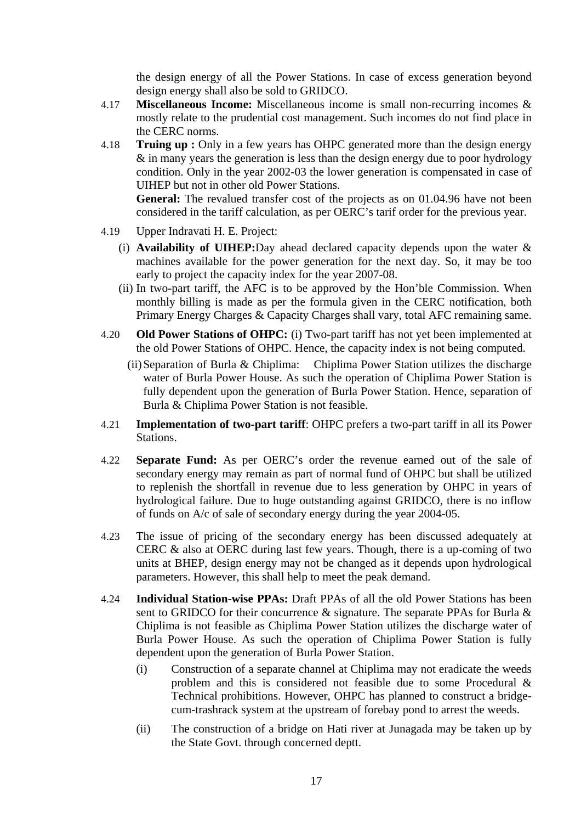the design energy of all the Power Stations. In case of excess generation beyond design energy shall also be sold to GRIDCO.

- 4.17 **Miscellaneous Income:** Miscellaneous income is small non-recurring incomes & mostly relate to the prudential cost management. Such incomes do not find place in the CERC norms.
- 4.18 **Truing up :** Only in a few years has OHPC generated more than the design energy & in many years the generation is less than the design energy due to poor hydrology condition. Only in the year 2002-03 the lower generation is compensated in case of UIHEP but not in other old Power Stations.

**General:** The revalued transfer cost of the projects as on 01.04.96 have not been considered in the tariff calculation, as per OERC's tarif order for the previous year.

- 4.19 Upper Indravati H. E. Project:
	- (i) **Availability of UIHEP:**Day ahead declared capacity depends upon the water & machines available for the power generation for the next day. So, it may be too early to project the capacity index for the year 2007-08.
	- (ii) In two-part tariff, the AFC is to be approved by the Hon'ble Commission. When monthly billing is made as per the formula given in the CERC notification, both Primary Energy Charges & Capacity Charges shall vary, total AFC remaining same.
- 4.20 **Old Power Stations of OHPC:** (i) Two-part tariff has not yet been implemented at the old Power Stations of OHPC. Hence, the capacity index is not being computed.
	- (ii) Separation of Burla & Chiplima: Chiplima Power Station utilizes the discharge water of Burla Power House. As such the operation of Chiplima Power Station is fully dependent upon the generation of Burla Power Station. Hence, separation of Burla & Chiplima Power Station is not feasible.
- 4.21 **Implementation of two-part tariff**: OHPC prefers a two-part tariff in all its Power Stations.
- 4.22 **Separate Fund:** As per OERC's order the revenue earned out of the sale of secondary energy may remain as part of normal fund of OHPC but shall be utilized to replenish the shortfall in revenue due to less generation by OHPC in years of hydrological failure. Due to huge outstanding against GRIDCO, there is no inflow of funds on A/c of sale of secondary energy during the year 2004-05.
- 4.23 The issue of pricing of the secondary energy has been discussed adequately at CERC & also at OERC during last few years. Though, there is a up-coming of two units at BHEP, design energy may not be changed as it depends upon hydrological parameters. However, this shall help to meet the peak demand.
- 4.24 **Individual Station-wise PPAs:** Draft PPAs of all the old Power Stations has been sent to GRIDCO for their concurrence & signature. The separate PPAs for Burla & Chiplima is not feasible as Chiplima Power Station utilizes the discharge water of Burla Power House. As such the operation of Chiplima Power Station is fully dependent upon the generation of Burla Power Station.
	- (i) Construction of a separate channel at Chiplima may not eradicate the weeds problem and this is considered not feasible due to some Procedural & Technical prohibitions. However, OHPC has planned to construct a bridgecum-trashrack system at the upstream of forebay pond to arrest the weeds.
	- (ii) The construction of a bridge on Hati river at Junagada may be taken up by the State Govt. through concerned deptt.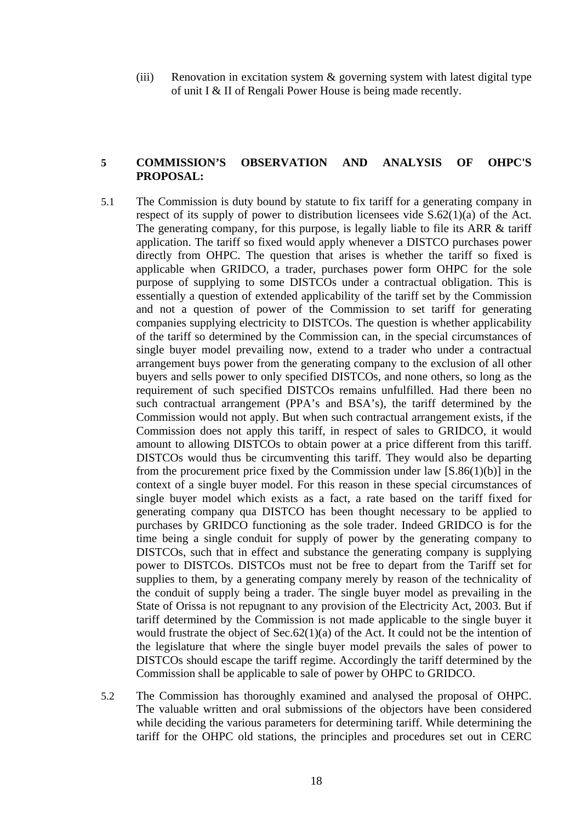(iii) Renovation in excitation system & governing system with latest digital type of unit I & II of Rengali Power House is being made recently.

# **5 COMMISSION'S OBSERVATION AND ANALYSIS OF OHPC'S PROPOSAL:**

- 5.1 The Commission is duty bound by statute to fix tariff for a generating company in respect of its supply of power to distribution licensees vide S.62(1)(a) of the Act. The generating company, for this purpose, is legally liable to file its ARR & tariff application. The tariff so fixed would apply whenever a DISTCO purchases power directly from OHPC. The question that arises is whether the tariff so fixed is applicable when GRIDCO, a trader, purchases power form OHPC for the sole purpose of supplying to some DISTCOs under a contractual obligation. This is essentially a question of extended applicability of the tariff set by the Commission and not a question of power of the Commission to set tariff for generating companies supplying electricity to DISTCOs. The question is whether applicability of the tariff so determined by the Commission can, in the special circumstances of single buyer model prevailing now, extend to a trader who under a contractual arrangement buys power from the generating company to the exclusion of all other buyers and sells power to only specified DISTCOs, and none others, so long as the requirement of such specified DISTCOs remains unfulfilled. Had there been no such contractual arrangement (PPA's and BSA's), the tariff determined by the Commission would not apply. But when such contractual arrangement exists, if the Commission does not apply this tariff, in respect of sales to GRIDCO, it would amount to allowing DISTCOs to obtain power at a price different from this tariff. DISTCOs would thus be circumventing this tariff. They would also be departing from the procurement price fixed by the Commission under law [S.86(1)(b)] in the context of a single buyer model. For this reason in these special circumstances of single buyer model which exists as a fact, a rate based on the tariff fixed for generating company qua DISTCO has been thought necessary to be applied to purchases by GRIDCO functioning as the sole trader. Indeed GRIDCO is for the time being a single conduit for supply of power by the generating company to DISTCOs, such that in effect and substance the generating company is supplying power to DISTCOs. DISTCOs must not be free to depart from the Tariff set for supplies to them, by a generating company merely by reason of the technicality of the conduit of supply being a trader. The single buyer model as prevailing in the State of Orissa is not repugnant to any provision of the Electricity Act, 2003. But if tariff determined by the Commission is not made applicable to the single buyer it would frustrate the object of Sec.62(1)(a) of the Act. It could not be the intention of the legislature that where the single buyer model prevails the sales of power to DISTCOs should escape the tariff regime. Accordingly the tariff determined by the Commission shall be applicable to sale of power by OHPC to GRIDCO.
- 5.2 The Commission has thoroughly examined and analysed the proposal of OHPC. The valuable written and oral submissions of the objectors have been considered while deciding the various parameters for determining tariff. While determining the tariff for the OHPC old stations, the principles and procedures set out in CERC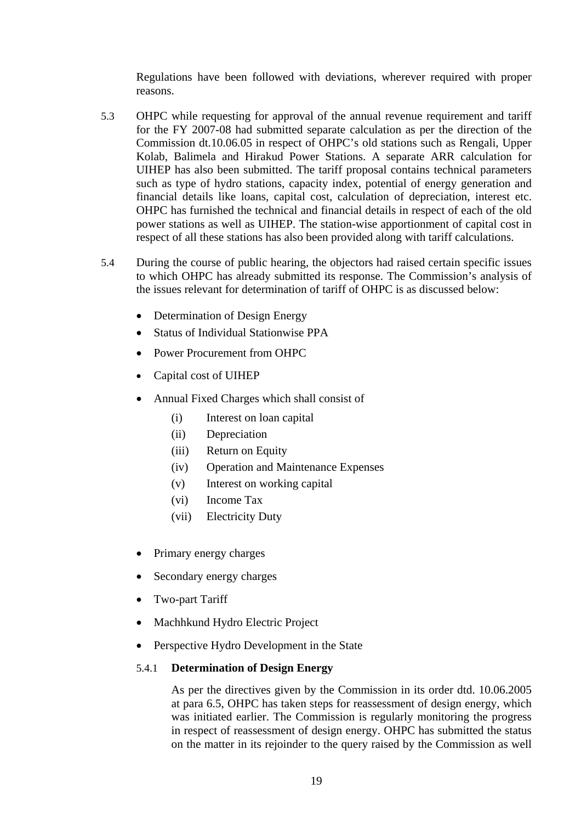Regulations have been followed with deviations, wherever required with proper reasons.

- 5.3 OHPC while requesting for approval of the annual revenue requirement and tariff for the FY 2007-08 had submitted separate calculation as per the direction of the Commission dt.10.06.05 in respect of OHPC's old stations such as Rengali, Upper Kolab, Balimela and Hirakud Power Stations. A separate ARR calculation for UIHEP has also been submitted. The tariff proposal contains technical parameters such as type of hydro stations, capacity index, potential of energy generation and financial details like loans, capital cost, calculation of depreciation, interest etc. OHPC has furnished the technical and financial details in respect of each of the old power stations as well as UIHEP. The station-wise apportionment of capital cost in respect of all these stations has also been provided along with tariff calculations.
- 5.4 During the course of public hearing, the objectors had raised certain specific issues to which OHPC has already submitted its response. The Commission's analysis of the issues relevant for determination of tariff of OHPC is as discussed below:
	- Determination of Design Energy
	- Status of Individual Stationwise PPA
	- Power Procurement from OHPC
	- Capital cost of UIHEP
	- Annual Fixed Charges which shall consist of
		- (i) Interest on loan capital
		- (ii) Depreciation
		- (iii) Return on Equity
		- (iv) Operation and Maintenance Expenses
		- (v) Interest on working capital
		- (vi) Income Tax
		- (vii) Electricity Duty
	- Primary energy charges
	- Secondary energy charges
	- Two-part Tariff
	- Machhkund Hydro Electric Project
	- Perspective Hydro Development in the State

# 5.4.1 **Determination of Design Energy**

As per the directives given by the Commission in its order dtd. 10.06.2005 at para 6.5, OHPC has taken steps for reassessment of design energy, which was initiated earlier. The Commission is regularly monitoring the progress in respect of reassessment of design energy. OHPC has submitted the status on the matter in its rejoinder to the query raised by the Commission as well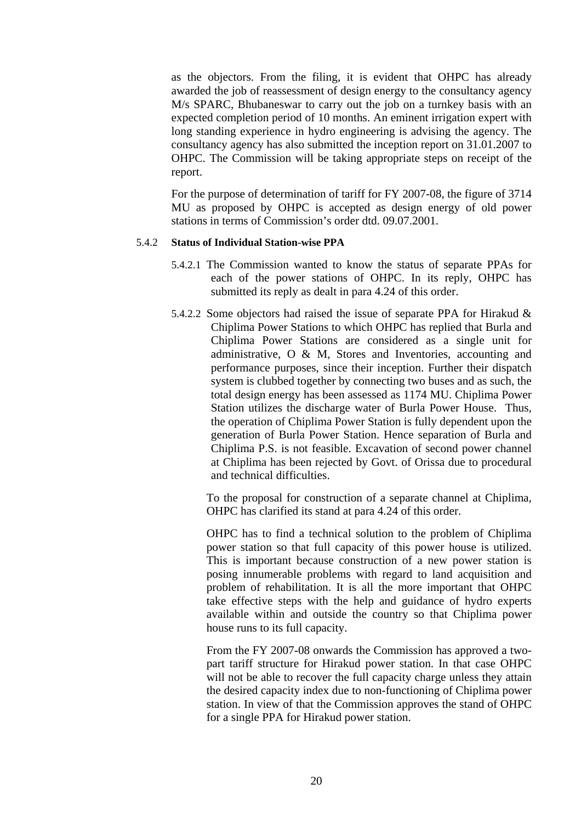as the objectors. From the filing, it is evident that OHPC has already awarded the job of reassessment of design energy to the consultancy agency M/s SPARC, Bhubaneswar to carry out the job on a turnkey basis with an expected completion period of 10 months. An eminent irrigation expert with long standing experience in hydro engineering is advising the agency. The consultancy agency has also submitted the inception report on 31.01.2007 to OHPC. The Commission will be taking appropriate steps on receipt of the report.

For the purpose of determination of tariff for FY 2007-08, the figure of 3714 MU as proposed by OHPC is accepted as design energy of old power stations in terms of Commission's order dtd. 09.07.2001.

### 5.4.2 **Status of Individual Station-wise PPA**

- 5.4.2.1 The Commission wanted to know the status of separate PPAs for each of the power stations of OHPC. In its reply, OHPC has submitted its reply as dealt in para 4.24 of this order.
- 5.4.2.2 Some objectors had raised the issue of separate PPA for Hirakud & Chiplima Power Stations to which OHPC has replied that Burla and Chiplima Power Stations are considered as a single unit for administrative, O & M, Stores and Inventories, accounting and performance purposes, since their inception. Further their dispatch system is clubbed together by connecting two buses and as such, the total design energy has been assessed as 1174 MU. Chiplima Power Station utilizes the discharge water of Burla Power House. Thus, the operation of Chiplima Power Station is fully dependent upon the generation of Burla Power Station. Hence separation of Burla and Chiplima P.S. is not feasible. Excavation of second power channel at Chiplima has been rejected by Govt. of Orissa due to procedural and technical difficulties.

To the proposal for construction of a separate channel at Chiplima, OHPC has clarified its stand at para 4.24 of this order.

OHPC has to find a technical solution to the problem of Chiplima power station so that full capacity of this power house is utilized. This is important because construction of a new power station is posing innumerable problems with regard to land acquisition and problem of rehabilitation. It is all the more important that OHPC take effective steps with the help and guidance of hydro experts available within and outside the country so that Chiplima power house runs to its full capacity.

From the FY 2007-08 onwards the Commission has approved a twopart tariff structure for Hirakud power station. In that case OHPC will not be able to recover the full capacity charge unless they attain the desired capacity index due to non-functioning of Chiplima power station. In view of that the Commission approves the stand of OHPC for a single PPA for Hirakud power station.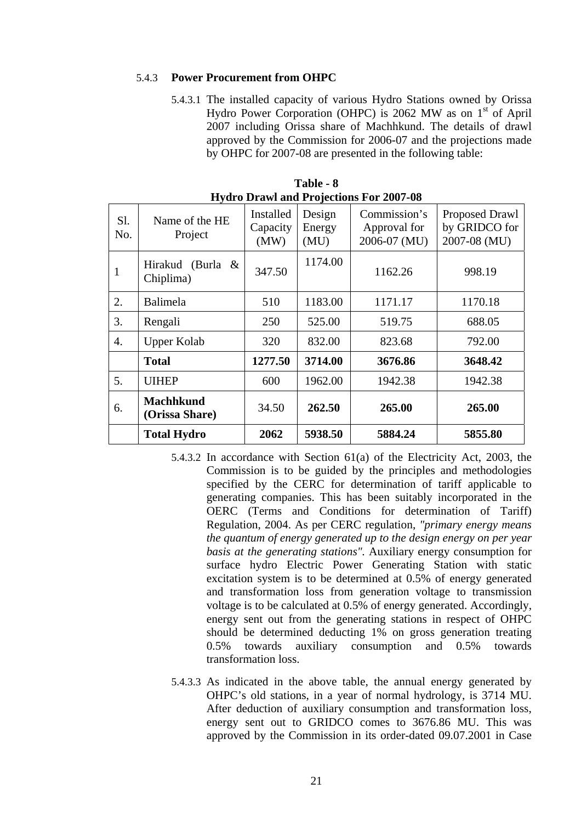### 5.4.3 **Power Procurement from OHPC**

5.4.3.1 The installed capacity of various Hydro Stations owned by Orissa Hydro Power Corporation (OHPC) is 2062 MW as on  $1<sup>st</sup>$  of April 2007 including Orissa share of Machhkund. The details of drawl approved by the Commission for 2006-07 and the projections made by OHPC for 2007-08 are presented in the following table:

|            |                                    |                               |                          | Tryulo Drawi and Frojections For 2007-08     |                                                 |
|------------|------------------------------------|-------------------------------|--------------------------|----------------------------------------------|-------------------------------------------------|
| Sl.<br>No. | Name of the HE<br>Project          | Installed<br>Capacity<br>(MW) | Design<br>Energy<br>(MU) | Commission's<br>Approval for<br>2006-07 (MU) | Proposed Drawl<br>by GRIDCO for<br>2007-08 (MU) |
| 1          | Hirakud (Burla &<br>Chiplima)      | 347.50                        | 1174.00                  | 1162.26                                      | 998.19                                          |
| 2.         | Balimela                           | 510                           | 1183.00                  | 1171.17                                      | 1170.18                                         |
| 3.         | Rengali                            | 250                           | 525.00                   | 519.75                                       | 688.05                                          |
| 4.         | <b>Upper Kolab</b>                 | 320                           | 832.00                   | 823.68                                       | 792.00                                          |
|            | <b>Total</b>                       | 1277.50                       | 3714.00                  | 3676.86                                      | 3648.42                                         |
| 5.         | <b>UIHEP</b>                       | 600                           | 1962.00                  | 1942.38                                      | 1942.38                                         |
| 6.         | <b>Machhkund</b><br>(Orissa Share) | 34.50                         | 262.50                   | 265.00                                       | 265.00                                          |
|            | <b>Total Hydro</b>                 | 2062                          | 5938.50                  | 5884.24                                      | 5855.80                                         |

| Table - 8                                      |
|------------------------------------------------|
| <b>Hydro Drawl and Projections For 2007-08</b> |

- 5.4.3.2 In accordance with Section 61(a) of the Electricity Act, 2003, the Commission is to be guided by the principles and methodologies specified by the CERC for determination of tariff applicable to generating companies. This has been suitably incorporated in the OERC (Terms and Conditions for determination of Tariff) Regulation, 2004. As per CERC regulation, *"primary energy means the quantum of energy generated up to the design energy on per year basis at the generating stations".* Auxiliary energy consumption for surface hydro Electric Power Generating Station with static excitation system is to be determined at 0.5% of energy generated and transformation loss from generation voltage to transmission voltage is to be calculated at 0.5% of energy generated. Accordingly, energy sent out from the generating stations in respect of OHPC should be determined deducting 1% on gross generation treating 0.5% towards auxiliary consumption and 0.5% towards transformation loss.
- 5.4.3.3 As indicated in the above table, the annual energy generated by OHPC's old stations, in a year of normal hydrology, is 3714 MU. After deduction of auxiliary consumption and transformation loss, energy sent out to GRIDCO comes to 3676.86 MU. This was approved by the Commission in its order-dated 09.07.2001 in Case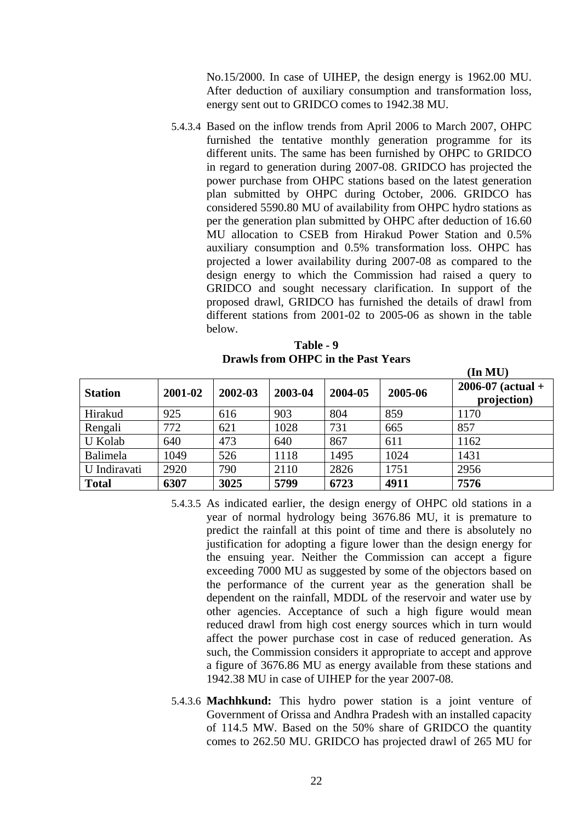No.15/2000. In case of UIHEP, the design energy is 1962.00 MU. After deduction of auxiliary consumption and transformation loss, energy sent out to GRIDCO comes to 1942.38 MU.

5.4.3.4 Based on the inflow trends from April 2006 to March 2007, OHPC furnished the tentative monthly generation programme for its different units. The same has been furnished by OHPC to GRIDCO in regard to generation during 2007-08. GRIDCO has projected the power purchase from OHPC stations based on the latest generation plan submitted by OHPC during October, 2006. GRIDCO has considered 5590.80 MU of availability from OHPC hydro stations as per the generation plan submitted by OHPC after deduction of 16.60 MU allocation to CSEB from Hirakud Power Station and 0.5% auxiliary consumption and 0.5% transformation loss. OHPC has projected a lower availability during 2007-08 as compared to the design energy to which the Commission had raised a query to GRIDCO and sought necessary clarification. In support of the proposed drawl, GRIDCO has furnished the details of drawl from different stations from 2001-02 to 2005-06 as shown in the table below.

| Table - 9                                 |
|-------------------------------------------|
| <b>Drawls from OHPC in the Past Years</b> |

|                |         |         |         |         |         | (In MU)                            |
|----------------|---------|---------|---------|---------|---------|------------------------------------|
| <b>Station</b> | 2001-02 | 2002-03 | 2003-04 | 2004-05 | 2005-06 | $2006-07$ (actual +<br>projection) |
| Hirakud        | 925     | 616     | 903     | 804     | 859     | 1170                               |
| Rengali        | 772     | 621     | 1028    | 731     | 665     | 857                                |
| U Kolab        | 640     | 473     | 640     | 867     | 611     | 1162                               |
| Balimela       | 1049    | 526     | 1118    | 1495    | 1024    | 1431                               |
| U Indiravati   | 2920    | 790     | 2110    | 2826    | 1751    | 2956                               |
| <b>Total</b>   | 6307    | 3025    | 5799    | 6723    | 4911    | 7576                               |

5.4.3.5 As indicated earlier, the design energy of OHPC old stations in a year of normal hydrology being 3676.86 MU, it is premature to predict the rainfall at this point of time and there is absolutely no justification for adopting a figure lower than the design energy for the ensuing year. Neither the Commission can accept a figure exceeding 7000 MU as suggested by some of the objectors based on the performance of the current year as the generation shall be dependent on the rainfall, MDDL of the reservoir and water use by other agencies. Acceptance of such a high figure would mean reduced drawl from high cost energy sources which in turn would affect the power purchase cost in case of reduced generation. As such, the Commission considers it appropriate to accept and approve a figure of 3676.86 MU as energy available from these stations and 1942.38 MU in case of UIHEP for the year 2007-08.

5.4.3.6 **Machhkund:** This hydro power station is a joint venture of Government of Orissa and Andhra Pradesh with an installed capacity of 114.5 MW. Based on the 50% share of GRIDCO the quantity comes to 262.50 MU. GRIDCO has projected drawl of 265 MU for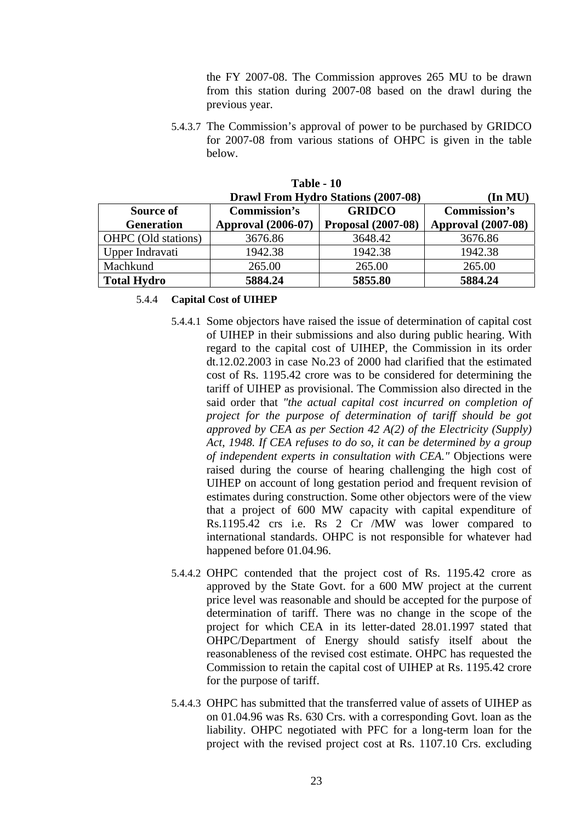the FY 2007-08. The Commission approves 265 MU to be drawn from this station during 2007-08 based on the drawl during the previous year.

5.4.3.7 The Commission's approval of power to be purchased by GRIDCO for 2007-08 from various stations of OHPC is given in the table below.

| 1 AU - 1V                                                      |                                      |                           |                           |  |  |  |
|----------------------------------------------------------------|--------------------------------------|---------------------------|---------------------------|--|--|--|
| <b>Drawl From Hydro Stations (2007-08)</b><br>$(\text{In MU})$ |                                      |                           |                           |  |  |  |
| Source of                                                      | <b>Commission's</b><br><b>GRIDCO</b> |                           |                           |  |  |  |
| <b>Generation</b>                                              | <b>Approval</b> (2006-07)            | <b>Proposal (2007-08)</b> | <b>Approval (2007-08)</b> |  |  |  |
| OHPC (Old stations)                                            | 3676.86                              | 3648.42                   | 3676.86                   |  |  |  |
| Upper Indravati                                                | 1942.38                              | 1942.38                   | 1942.38                   |  |  |  |
| Machkund                                                       | 265.00                               | 265.00                    | 265.00                    |  |  |  |
| <b>Total Hydro</b>                                             | 5884.24                              | 5855.80                   | 5884.24                   |  |  |  |

**Table - 10** 

5.4.4 **Capital Cost of UIHEP**

- 5.4.4.1 Some objectors have raised the issue of determination of capital cost of UIHEP in their submissions and also during public hearing. With regard to the capital cost of UIHEP, the Commission in its order dt.12.02.2003 in case No.23 of 2000 had clarified that the estimated cost of Rs. 1195.42 crore was to be considered for determining the tariff of UIHEP as provisional. The Commission also directed in the said order that *"the actual capital cost incurred on completion of project for the purpose of determination of tariff should be got approved by CEA as per Section 42 A(2) of the Electricity (Supply) Act, 1948. If CEA refuses to do so, it can be determined by a group of independent experts in consultation with CEA."* Objections were raised during the course of hearing challenging the high cost of UIHEP on account of long gestation period and frequent revision of estimates during construction. Some other objectors were of the view that a project of 600 MW capacity with capital expenditure of Rs.1195.42 crs i.e. Rs 2 Cr /MW was lower compared to international standards. OHPC is not responsible for whatever had happened before 01.04.96.
- 5.4.4.2 OHPC contended that the project cost of Rs. 1195.42 crore as approved by the State Govt. for a 600 MW project at the current price level was reasonable and should be accepted for the purpose of determination of tariff. There was no change in the scope of the project for which CEA in its letter-dated 28.01.1997 stated that OHPC/Department of Energy should satisfy itself about the reasonableness of the revised cost estimate. OHPC has requested the Commission to retain the capital cost of UIHEP at Rs. 1195.42 crore for the purpose of tariff.
- 5.4.4.3 OHPC has submitted that the transferred value of assets of UIHEP as on 01.04.96 was Rs. 630 Crs. with a corresponding Govt. loan as the liability. OHPC negotiated with PFC for a long-term loan for the project with the revised project cost at Rs. 1107.10 Crs. excluding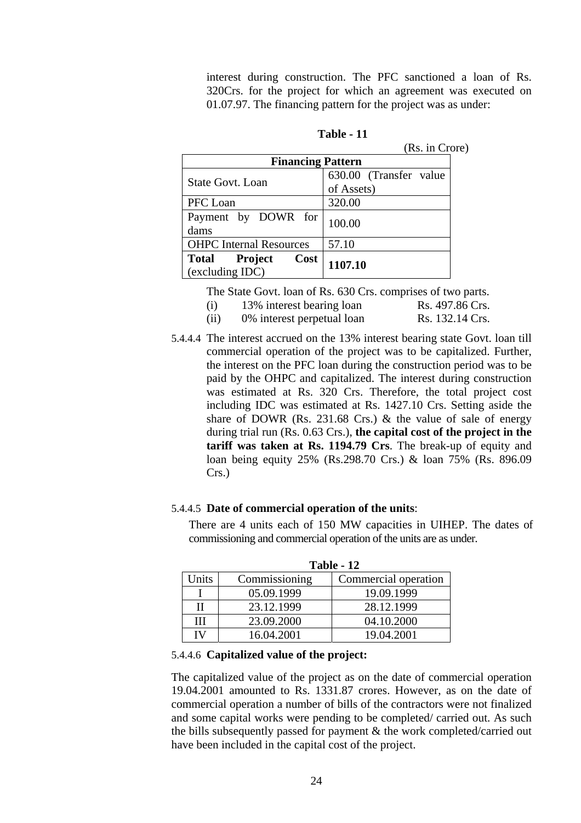interest during construction. The PFC sanctioned a loan of Rs. 320Crs. for the project for which an agreement was executed on 01.07.97. The financing pattern for the project was as under:

|                                                    | (Rs. in Crore)                       |  |
|----------------------------------------------------|--------------------------------------|--|
| <b>Financing Pattern</b>                           |                                      |  |
| <b>State Govt. Loan</b>                            | 630.00 (Transfer value<br>of Assets) |  |
| PFC Loan                                           | 320.00                               |  |
| Payment by DOWR for<br>dams                        | 100.00                               |  |
| <b>OHPC</b> Internal Resources                     | 57.10                                |  |
| Cost<br>Total<br><b>Project</b><br>(excluding IDC) | 1107.10                              |  |

**Table - 11** 

The State Govt. loan of Rs. 630 Crs. comprises of two parts.

- (i)  $13\%$  interest bearing loan Rs. 497.86 Crs.
- (ii)  $0\%$  interest perpetual loan Rs. 132.14 Crs.
- 5.4.4.4 The interest accrued on the 13% interest bearing state Govt. loan till commercial operation of the project was to be capitalized. Further, the interest on the PFC loan during the construction period was to be paid by the OHPC and capitalized. The interest during construction was estimated at Rs. 320 Crs. Therefore, the total project cost including IDC was estimated at Rs. 1427.10 Crs. Setting aside the share of DOWR (Rs. 231.68 Crs.)  $\&$  the value of sale of energy during trial run (Rs. 0.63 Crs.), **the capital cost of the project in the tariff was taken at Rs. 1194.79 Crs**. The break-up of equity and loan being equity 25% (Rs.298.70 Crs.) & loan 75% (Rs. 896.09 Crs.)

### 5.4.4.5 **Date of commercial operation of the units**:

There are 4 units each of 150 MW capacities in UIHEP. The dates of commissioning and commercial operation of the units are as under.

|       | <b>Table - 12</b> |                      |  |  |  |
|-------|-------------------|----------------------|--|--|--|
| Units | Commissioning     | Commercial operation |  |  |  |
|       | 05.09.1999        | 19.09.1999           |  |  |  |
| Н     | 23.12.1999        | 28.12.1999           |  |  |  |
| Ш     | 23.09.2000        | 04.10.2000           |  |  |  |
| IV    | 16.04.2001        | 19.04.2001           |  |  |  |

**Table - 12** 

### 5.4.4.6 **Capitalized value of the project:**

The capitalized value of the project as on the date of commercial operation 19.04.2001 amounted to Rs. 1331.87 crores. However, as on the date of commercial operation a number of bills of the contractors were not finalized and some capital works were pending to be completed/ carried out. As such the bills subsequently passed for payment & the work completed/carried out have been included in the capital cost of the project.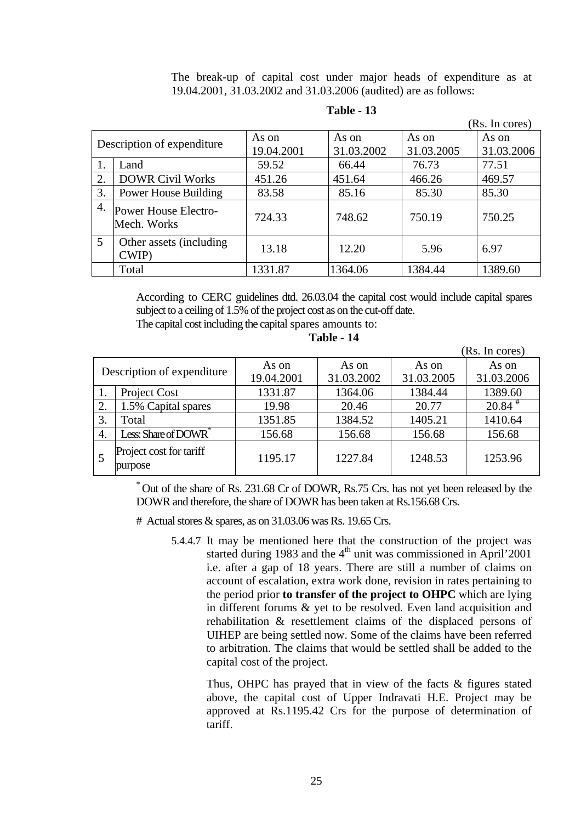The break-up of capital cost under major heads of expenditure as at 19.04.2001, 31.03.2002 and 31.03.2006 (audited) are as follows:

|                |                                     |            |            |            | (Rs. In cores) |
|----------------|-------------------------------------|------------|------------|------------|----------------|
|                | Description of expenditure          | As on      | As on      | As on      | As on          |
|                |                                     | 19.04.2001 | 31.03.2002 | 31.03.2005 | 31.03.2006     |
|                | Land                                | 59.52      | 66.44      | 76.73      | 77.51          |
| 2.             | <b>DOWR Civil Works</b>             | 451.26     | 451.64     | 466.26     | 469.57         |
| 3.             | <b>Power House Building</b>         | 83.58      | 85.16      | 85.30      | 85.30          |
| 4.             | Power House Electro-<br>Mech. Works | 724.33     | 748.62     | 750.19     | 750.25         |
| $\mathfrak{S}$ | Other assets (including)<br>CWIP)   | 13.18      | 12.20      | 5.96       | 6.97           |
|                | Total                               | 1331.87    | 1364.06    | 1384.44    | 1389.60        |

**Table - 13** 

According to CERC guidelines dtd. 26.03.04 the capital cost would include capital spares subject to a ceiling of 1.5% of the project cost as on the cut-off date.

The capital cost including the capital spares amounts to:

|                            |                                    |            |            |            | (Rs. In cores)       |
|----------------------------|------------------------------------|------------|------------|------------|----------------------|
| Description of expenditure |                                    | As on      | As on      | As on      | As on                |
|                            |                                    | 19.04.2001 | 31.03.2002 | 31.03.2005 | 31.03.2006           |
|                            | Project Cost                       | 1331.87    | 1364.06    | 1384.44    | 1389.60              |
| 2.                         | 1.5% Capital spares                | 19.98      | 20.46      | 20.77      | $20.84$ <sup>#</sup> |
| 3.                         | Total                              | 1351.85    | 1384.52    | 1405.21    | 1410.64              |
| 4.                         | Less: Share of DOWR <sup>*</sup>   | 156.68     | 156.68     | 156.68     | 156.68               |
|                            | Project cost for tariff<br>purpose | 1195.17    | 1227.84    | 1248.53    | 1253.96              |

**Table - 14** 

\* Out of the share of Rs. 231.68 Cr of DOWR, Rs.75 Crs. has not yet been released by the DOWR and therefore, the share of DOWR has been taken at Rs.156.68 Crs.

# Actual stores & spares, as on 31.03.06 was Rs. 19.65 Crs.

5.4.4.7 It may be mentioned here that the construction of the project was started during 1983 and the  $4<sup>th</sup>$  unit was commissioned in April'2001 i.e. after a gap of 18 years. There are still a number of claims on account of escalation, extra work done, revision in rates pertaining to the period prior **to transfer of the project to OHPC** which are lying in different forums & yet to be resolved. Even land acquisition and rehabilitation & resettlement claims of the displaced persons of UIHEP are being settled now. Some of the claims have been referred to arbitration. The claims that would be settled shall be added to the capital cost of the project.

Thus, OHPC has prayed that in view of the facts & figures stated above, the capital cost of Upper Indravati H.E. Project may be approved at Rs.1195.42 Crs for the purpose of determination of tariff.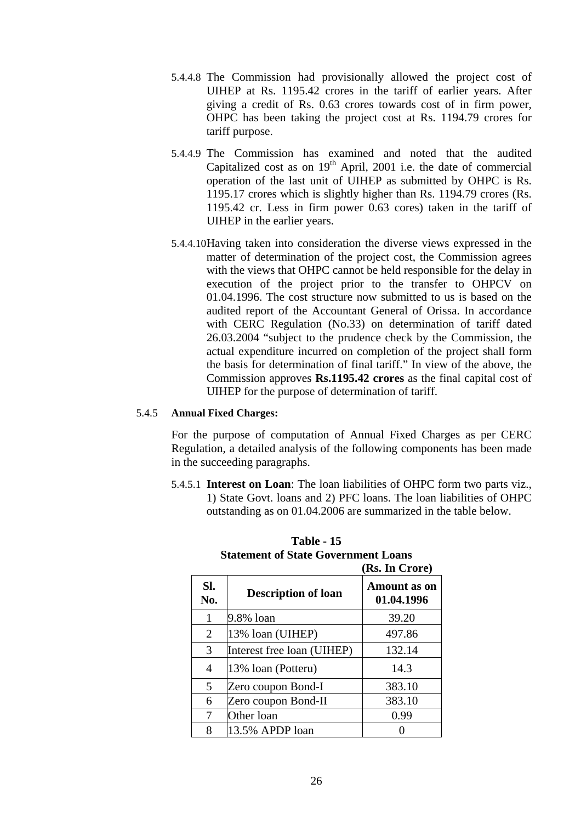- 5.4.4.8 The Commission had provisionally allowed the project cost of UIHEP at Rs. 1195.42 crores in the tariff of earlier years. After giving a credit of Rs. 0.63 crores towards cost of in firm power, OHPC has been taking the project cost at Rs. 1194.79 crores for tariff purpose.
- 5.4.4.9 The Commission has examined and noted that the audited Capitalized cost as on  $19<sup>th</sup>$  April, 2001 i.e. the date of commercial operation of the last unit of UIHEP as submitted by OHPC is Rs. 1195.17 crores which is slightly higher than Rs. 1194.79 crores (Rs. 1195.42 cr. Less in firm power 0.63 cores) taken in the tariff of UIHEP in the earlier years.
- 5.4.4.10Having taken into consideration the diverse views expressed in the matter of determination of the project cost, the Commission agrees with the views that OHPC cannot be held responsible for the delay in execution of the project prior to the transfer to OHPCV on 01.04.1996. The cost structure now submitted to us is based on the audited report of the Accountant General of Orissa. In accordance with CERC Regulation (No.33) on determination of tariff dated 26.03.2004 "subject to the prudence check by the Commission, the actual expenditure incurred on completion of the project shall form the basis for determination of final tariff." In view of the above, the Commission approves **Rs.1195.42 crores** as the final capital cost of UIHEP for the purpose of determination of tariff.

### 5.4.5 **Annual Fixed Charges:**

For the purpose of computation of Annual Fixed Charges as per CERC Regulation, a detailed analysis of the following components has been made in the succeeding paragraphs.

5.4.5.1 **Interest on Loan**: The loan liabilities of OHPC form two parts viz., 1) State Govt. loans and 2) PFC loans. The loan liabilities of OHPC outstanding as on 01.04.2006 are summarized in the table below.

|            |                            | (Rs. In Crore)                    |
|------------|----------------------------|-----------------------------------|
| SI.<br>No. | <b>Description of loan</b> | <b>Amount</b> as on<br>01.04.1996 |
| 1          | 9.8% loan                  | 39.20                             |
| 2          | 13% loan (UIHEP)           | 497.86                            |
| 3          | Interest free loan (UIHEP) | 132.14                            |
| 4          | 13% loan (Potteru)         | 14.3                              |
| 5          | Zero coupon Bond-I         | 383.10                            |
| 6          | Zero coupon Bond-II        | 383.10                            |
| 7          | Other loan                 | 0.99                              |
| 8          | 13.5% APDP loan            |                                   |

# **Table - 15 Statement of State Government Loans**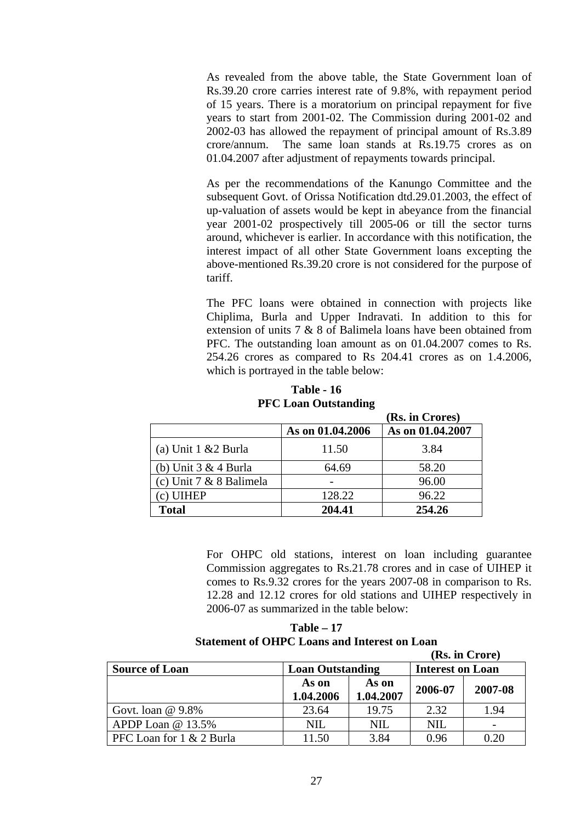As revealed from the above table, the State Government loan of Rs.39.20 crore carries interest rate of 9.8%, with repayment period of 15 years. There is a moratorium on principal repayment for five years to start from 2001-02. The Commission during 2001-02 and 2002-03 has allowed the repayment of principal amount of Rs.3.89 crore/annum. The same loan stands at Rs.19.75 crores as on 01.04.2007 after adjustment of repayments towards principal.

As per the recommendations of the Kanungo Committee and the subsequent Govt. of Orissa Notification dtd.29.01.2003, the effect of up-valuation of assets would be kept in abeyance from the financial year 2001-02 prospectively till 2005-06 or till the sector turns around, whichever is earlier. In accordance with this notification, the interest impact of all other State Government loans excepting the above-mentioned Rs.39.20 crore is not considered for the purpose of tariff.

The PFC loans were obtained in connection with projects like Chiplima, Burla and Upper Indravati. In addition to this for extension of units 7 & 8 of Balimela loans have been obtained from PFC. The outstanding loan amount as on 01.04.2007 comes to Rs. 254.26 crores as compared to Rs 204.41 crores as on 1.4.2006, which is portrayed in the table below:

**Table - 16 PFC Loan Outstanding** 

|                         |                  | (Rs. in Crores)  |
|-------------------------|------------------|------------------|
|                         | As on 01.04.2006 | As on 01.04.2007 |
| (a) Unit 1 & 2 Burla    | 11.50            | 3.84             |
| (b) Unit $3 & 4$ Burla  | 64.69            | 58.20            |
| (c) Unit 7 & 8 Balimela |                  | 96.00            |
| (c) UIHEP               | 128.22           | 96.22            |
| <b>Total</b>            | 204.41           | 254.26           |

For OHPC old stations, interest on loan including guarantee Commission aggregates to Rs.21.78 crores and in case of UIHEP it comes to Rs.9.32 crores for the years 2007-08 in comparison to Rs. 12.28 and 12.12 crores for old stations and UIHEP respectively in 2006-07 as summarized in the table below:

**Table – 17 Statement of OHPC Loans and Interest on Loan** 

|                          |                         |                    |                         | (Rs. in Crore) |
|--------------------------|-------------------------|--------------------|-------------------------|----------------|
| <b>Source of Loan</b>    | <b>Loan Outstanding</b> |                    | <b>Interest on Loan</b> |                |
|                          | As on<br>1.04.2006      | As on<br>1.04.2007 | 2006-07                 | 2007-08        |
| Govt. loan $@9.8\%$      | 23.64                   | 19.75              | 2.32                    | 1.94           |
| APDP Loan @ 13.5%        | NIL                     | <b>NIL</b>         | <b>NIL</b>              |                |
| PFC Loan for 1 & 2 Burla | 11.50                   | 3.84               | 0.96                    | 0.20           |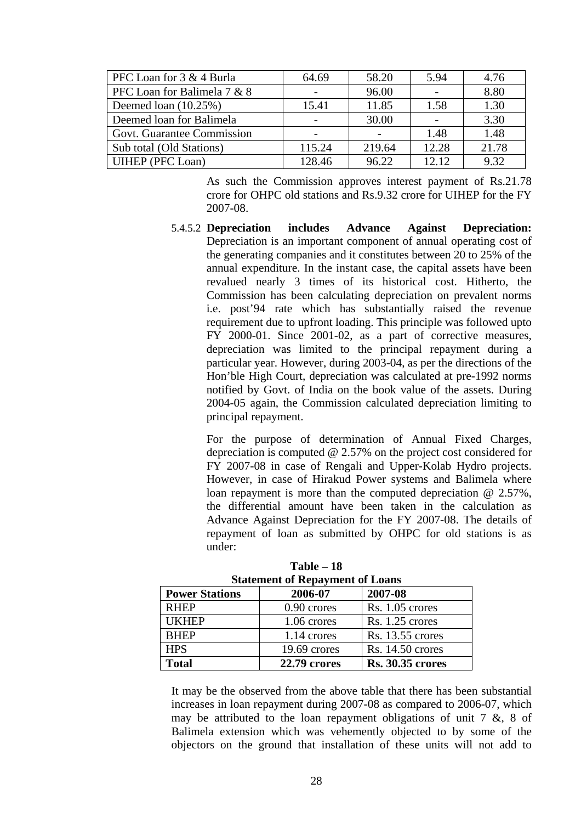| PFC Loan for 3 & 4 Burla    | 64.69  | 58.20  | 5.94  | 4.76  |
|-----------------------------|--------|--------|-------|-------|
| PFC Loan for Balimela 7 & 8 |        | 96.00  |       | 8.80  |
| Deemed loan $(10.25\%)$     | 15.41  | 11.85  | 1.58  | 1.30  |
| Deemed loan for Balimela    |        | 30.00  |       | 3.30  |
| Govt. Guarantee Commission  |        |        | 1.48  | 1.48  |
| Sub total (Old Stations)    | 115.24 | 219.64 | 12.28 | 21.78 |
| UIHEP (PFC Loan)            | 128.46 | 96.22  | 12.12 | 9.32  |

As such the Commission approves interest payment of Rs.21.78 crore for OHPC old stations and Rs.9.32 crore for UIHEP for the FY 2007-08.

5.4.5.2 **Depreciation includes Advance Against Depreciation:**  Depreciation is an important component of annual operating cost of the generating companies and it constitutes between 20 to 25% of the annual expenditure. In the instant case, the capital assets have been revalued nearly 3 times of its historical cost. Hitherto, the Commission has been calculating depreciation on prevalent norms i.e. post'94 rate which has substantially raised the revenue requirement due to upfront loading. This principle was followed upto FY 2000-01. Since 2001-02, as a part of corrective measures, depreciation was limited to the principal repayment during a particular year. However, during 2003-04, as per the directions of the Hon'ble High Court, depreciation was calculated at pre-1992 norms notified by Govt. of India on the book value of the assets. During 2004-05 again, the Commission calculated depreciation limiting to principal repayment.

For the purpose of determination of Annual Fixed Charges, depreciation is computed @ 2.57% on the project cost considered for FY 2007-08 in case of Rengali and Upper-Kolab Hydro projects. However, in case of Hirakud Power systems and Balimela where loan repayment is more than the computed depreciation @ 2.57%, the differential amount have been taken in the calculation as Advance Against Depreciation for the FY 2007-08. The details of repayment of loan as submitted by OHPC for old stations is as under:

| Statement of Repayment of Loans |                     |                         |  |  |  |
|---------------------------------|---------------------|-------------------------|--|--|--|
| <b>Power Stations</b>           | 2006-07             | 2007-08                 |  |  |  |
| <b>RHEP</b>                     | 0.90 crores         | Rs. 1.05 crores         |  |  |  |
| <b>UKHEP</b>                    | 1.06 crores         | Rs. 1.25 crores         |  |  |  |
| <b>BHEP</b>                     | 1.14 crores         | Rs. 13.55 crores        |  |  |  |
| <b>HPS</b>                      | 19.69 crores        | Rs. 14.50 crores        |  |  |  |
| <b>Total</b>                    | <b>22.79 crores</b> | <b>Rs. 30.35 crores</b> |  |  |  |

**Table – 18 Statement of Repayment of Loans** 

It may be the observed from the above table that there has been substantial increases in loan repayment during 2007-08 as compared to 2006-07, which may be attributed to the loan repayment obligations of unit  $7 \&$ ,  $8 \text{ of}$ Balimela extension which was vehemently objected to by some of the objectors on the ground that installation of these units will not add to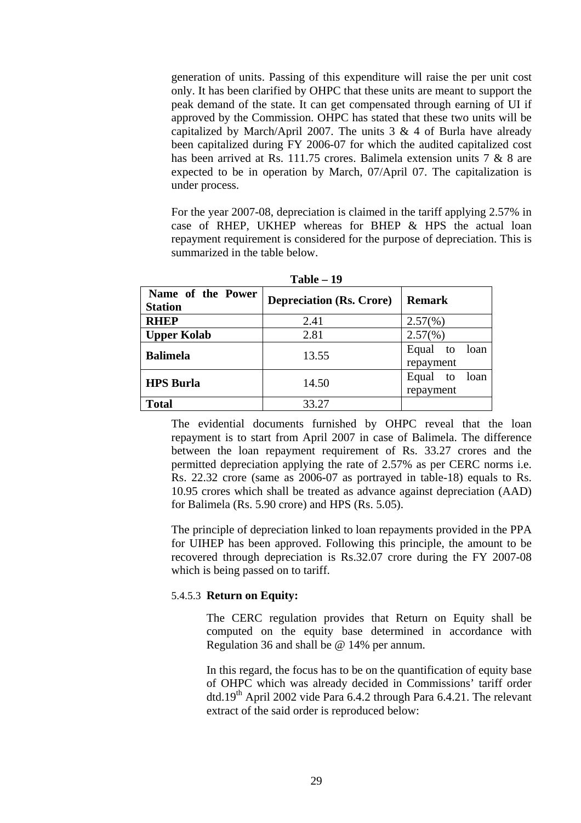generation of units. Passing of this expenditure will raise the per unit cost only. It has been clarified by OHPC that these units are meant to support the peak demand of the state. It can get compensated through earning of UI if approved by the Commission. OHPC has stated that these two units will be capitalized by March/April 2007. The units  $3 \& 4$  of Burla have already been capitalized during FY 2006-07 for which the audited capitalized cost has been arrived at Rs. 111.75 crores. Balimela extension units 7 & 8 are expected to be in operation by March, 07/April 07. The capitalization is under process.

For the year 2007-08, depreciation is claimed in the tariff applying 2.57% in case of RHEP, UKHEP whereas for BHEP & HPS the actual loan repayment requirement is considered for the purpose of depreciation. This is summarized in the table below.

| Name of the Power<br><b>Station</b> | <b>Depreciation (Rs. Crore)</b> | <b>Remark</b>                 |
|-------------------------------------|---------------------------------|-------------------------------|
| <b>RHEP</b>                         | 2.41                            | $2.57(\%)$                    |
| <b>Upper Kolab</b>                  | 2.81                            | $2.57(\%)$                    |
| <b>Balimela</b>                     | 13.55                           | Equal to<br>loan<br>repayment |
| <b>HPS Burla</b>                    | 14.50                           | loan<br>Equal to<br>repayment |
| <b>Total</b>                        | 33.27                           |                               |

**Table – 19** 

The evidential documents furnished by OHPC reveal that the loan repayment is to start from April 2007 in case of Balimela. The difference between the loan repayment requirement of Rs. 33.27 crores and the permitted depreciation applying the rate of 2.57% as per CERC norms i.e. Rs. 22.32 crore (same as 2006-07 as portrayed in table-18) equals to Rs. 10.95 crores which shall be treated as advance against depreciation (AAD) for Balimela (Rs. 5.90 crore) and HPS (Rs. 5.05).

The principle of depreciation linked to loan repayments provided in the PPA for UIHEP has been approved. Following this principle, the amount to be recovered through depreciation is Rs.32.07 crore during the FY 2007-08 which is being passed on to tariff.

### 5.4.5.3 **Return on Equity:**

The CERC regulation provides that Return on Equity shall be computed on the equity base determined in accordance with Regulation 36 and shall be @ 14% per annum.

In this regard, the focus has to be on the quantification of equity base of OHPC which was already decided in Commissions' tariff order dtd.19<sup>th</sup> April 2002 vide Para 6.4.2 through Para 6.4.21. The relevant extract of the said order is reproduced below: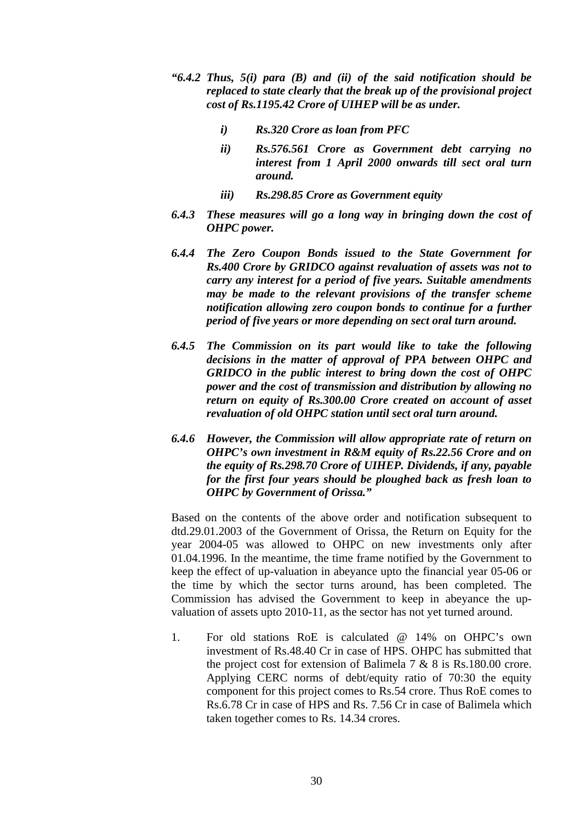- *"6.4.2 Thus, 5(i) para (B) and (ii) of the said notification should be replaced to state clearly that the break up of the provisional project cost of Rs.1195.42 Crore of UIHEP will be as under.* 
	- *i) Rs.320 Crore as loan from PFC*
	- *ii) Rs.576.561 Crore as Government debt carrying no interest from 1 April 2000 onwards till sect oral turn around.*
	- *iii) Rs.298.85 Crore as Government equity*
- *6.4.3 These measures will go a long way in bringing down the cost of OHPC power.*
- *6.4.4 The Zero Coupon Bonds issued to the State Government for Rs.400 Crore by GRIDCO against revaluation of assets was not to carry any interest for a period of five years. Suitable amendments may be made to the relevant provisions of the transfer scheme notification allowing zero coupon bonds to continue for a further period of five years or more depending on sect oral turn around.*
- *6.4.5 The Commission on its part would like to take the following decisions in the matter of approval of PPA between OHPC and GRIDCO in the public interest to bring down the cost of OHPC power and the cost of transmission and distribution by allowing no return on equity of Rs.300.00 Crore created on account of asset revaluation of old OHPC station until sect oral turn around.*
- *6.4.6 However, the Commission will allow appropriate rate of return on OHPC's own investment in R&M equity of Rs.22.56 Crore and on the equity of Rs.298.70 Crore of UIHEP. Dividends, if any, payable for the first four years should be ploughed back as fresh loan to OHPC by Government of Orissa."*

Based on the contents of the above order and notification subsequent to dtd.29.01.2003 of the Government of Orissa, the Return on Equity for the year 2004-05 was allowed to OHPC on new investments only after 01.04.1996. In the meantime, the time frame notified by the Government to keep the effect of up-valuation in abeyance upto the financial year 05-06 or the time by which the sector turns around, has been completed. The Commission has advised the Government to keep in abeyance the upvaluation of assets upto 2010-11, as the sector has not yet turned around.

1. For old stations RoE is calculated @ 14% on OHPC's own investment of Rs.48.40 Cr in case of HPS. OHPC has submitted that the project cost for extension of Balimela 7 & 8 is Rs.180.00 crore. Applying CERC norms of debt/equity ratio of 70:30 the equity component for this project comes to Rs.54 crore. Thus RoE comes to Rs.6.78 Cr in case of HPS and Rs. 7.56 Cr in case of Balimela which taken together comes to Rs. 14.34 crores.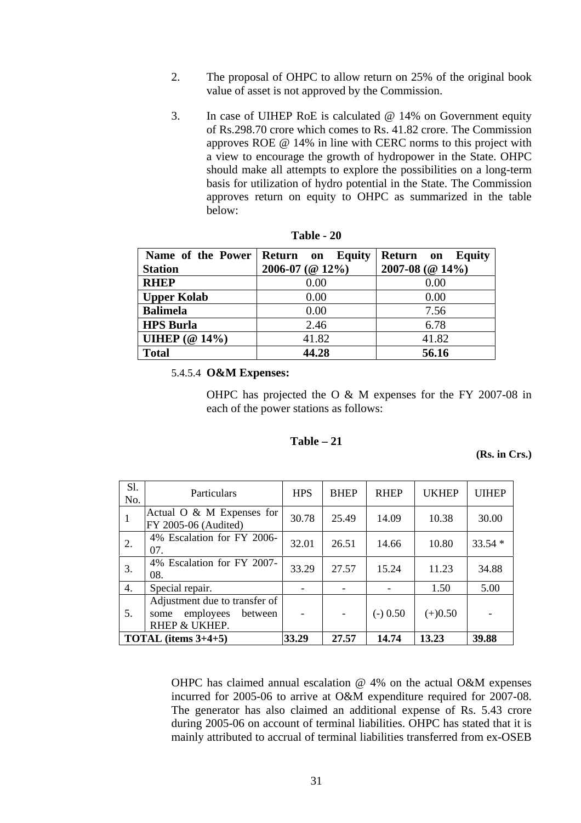- 2. The proposal of OHPC to allow return on 25% of the original book value of asset is not approved by the Commission.
- 3. In case of UIHEP RoE is calculated @ 14% on Government equity of Rs.298.70 crore which comes to Rs. 41.82 crore. The Commission approves ROE @ 14% in line with CERC norms to this project with a view to encourage the growth of hydropower in the State. OHPC should make all attempts to explore the possibilities on a long-term basis for utilization of hydro potential in the State. The Commission approves return on equity to OHPC as summarized in the table below:

| Name of the Power              | Return on Equity        | Return on<br><b>Equity</b> |
|--------------------------------|-------------------------|----------------------------|
| <b>Station</b>                 | $2006 - 07$ (@ $12\%$ ) | 2007-08 ( $@14\%$ )        |
| <b>RHEP</b>                    | 0.00                    | 0.00                       |
| <b>Upper Kolab</b>             | 0.00                    | 0.00                       |
| <b>Balimela</b>                | 0.00                    | 7.56                       |
| <b>HPS Burla</b>               | 2.46                    | 6.78                       |
| UIHEP $(\textcircled{a} 14\%)$ | 41.82                   | 41.82                      |
| <b>Total</b>                   | 44.28                   | 56.16                      |

| Table | 20 |
|-------|----|
|-------|----|

#### 5.4.5.4 **O&M Expenses:**

OHPC has projected the O & M expenses for the FY 2007-08 in each of the power stations as follows:

### **Table – 21**

**(Rs. in Crs.)**

| S1.<br>No. | Particulars                                                                    | <b>HPS</b> | <b>BHEP</b> | <b>RHEP</b> | <b>UKHEP</b> | <b>UIHEP</b> |
|------------|--------------------------------------------------------------------------------|------------|-------------|-------------|--------------|--------------|
| -1         | Actual O $\& M$ Expenses for<br>FY 2005-06 (Audited)                           | 30.78      | 25.49       | 14.09       | 10.38        | 30.00        |
| 2.         | 4% Escalation for FY 2006-<br>07.                                              | 32.01      | 26.51       | 14.66       | 10.80        | $33.54*$     |
| 3.         | 4% Escalation for FY 2007-<br>08.                                              | 33.29      | 27.57       | 15.24       | 11.23        | 34.88        |
| 4.         | Special repair.                                                                |            |             |             | 1.50         | 5.00         |
| 5.         | Adjustment due to transfer of<br>employees<br>between<br>some<br>RHEP & UKHEP. |            |             | $(-) 0.50$  | $(+)0.50$    |              |
|            | <b>TOTAL</b> (items $3+4+5$ )                                                  | 33.29      | 27.57       | 14.74       | 13.23        | 39.88        |

OHPC has claimed annual escalation @ 4% on the actual O&M expenses incurred for 2005-06 to arrive at O&M expenditure required for 2007-08. The generator has also claimed an additional expense of Rs. 5.43 crore during 2005-06 on account of terminal liabilities. OHPC has stated that it is mainly attributed to accrual of terminal liabilities transferred from ex-OSEB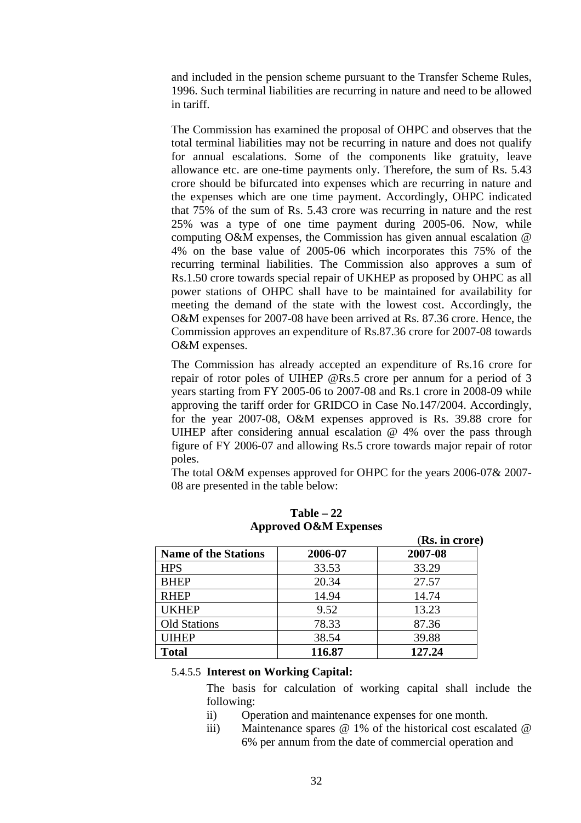and included in the pension scheme pursuant to the Transfer Scheme Rules, 1996. Such terminal liabilities are recurring in nature and need to be allowed in tariff.

The Commission has examined the proposal of OHPC and observes that the total terminal liabilities may not be recurring in nature and does not qualify for annual escalations. Some of the components like gratuity, leave allowance etc. are one-time payments only. Therefore, the sum of Rs. 5.43 crore should be bifurcated into expenses which are recurring in nature and the expenses which are one time payment. Accordingly, OHPC indicated that 75% of the sum of Rs. 5.43 crore was recurring in nature and the rest 25% was a type of one time payment during 2005-06. Now, while computing O&M expenses, the Commission has given annual escalation @ 4% on the base value of 2005-06 which incorporates this 75% of the recurring terminal liabilities. The Commission also approves a sum of Rs.1.50 crore towards special repair of UKHEP as proposed by OHPC as all power stations of OHPC shall have to be maintained for availability for meeting the demand of the state with the lowest cost. Accordingly, the O&M expenses for 2007-08 have been arrived at Rs. 87.36 crore. Hence, the Commission approves an expenditure of Rs.87.36 crore for 2007-08 towards O&M expenses.

The Commission has already accepted an expenditure of Rs.16 crore for repair of rotor poles of UIHEP @Rs.5 crore per annum for a period of 3 years starting from FY 2005-06 to 2007-08 and Rs.1 crore in 2008-09 while approving the tariff order for GRIDCO in Case No.147/2004. Accordingly, for the year 2007-08, O&M expenses approved is Rs. 39.88 crore for UIHEP after considering annual escalation @ 4% over the pass through figure of FY 2006-07 and allowing Rs.5 crore towards major repair of rotor poles.

The total O&M expenses approved for OHPC for the years 2006-07& 2007- 08 are presented in the table below:

|                             |         | (Rs. in crore) |
|-----------------------------|---------|----------------|
| <b>Name of the Stations</b> | 2006-07 | 2007-08        |
| <b>HPS</b>                  | 33.53   | 33.29          |
| <b>BHEP</b>                 | 20.34   | 27.57          |
| <b>RHEP</b>                 | 14.94   | 14.74          |
| <b>UKHEP</b>                | 9.52    | 13.23          |
| <b>Old Stations</b>         | 78.33   | 87.36          |
| <b>UIHEP</b>                | 38.54   | 39.88          |
| <b>Total</b>                | 116.87  | 127.24         |

**Table – 22 Approved O&M Expenses** 

# 5.4.5.5 **Interest on Working Capital:**

The basis for calculation of working capital shall include the following:

- ii) Operation and maintenance expenses for one month.
- iii) Maintenance spares @ 1% of the historical cost escalated @ 6% per annum from the date of commercial operation and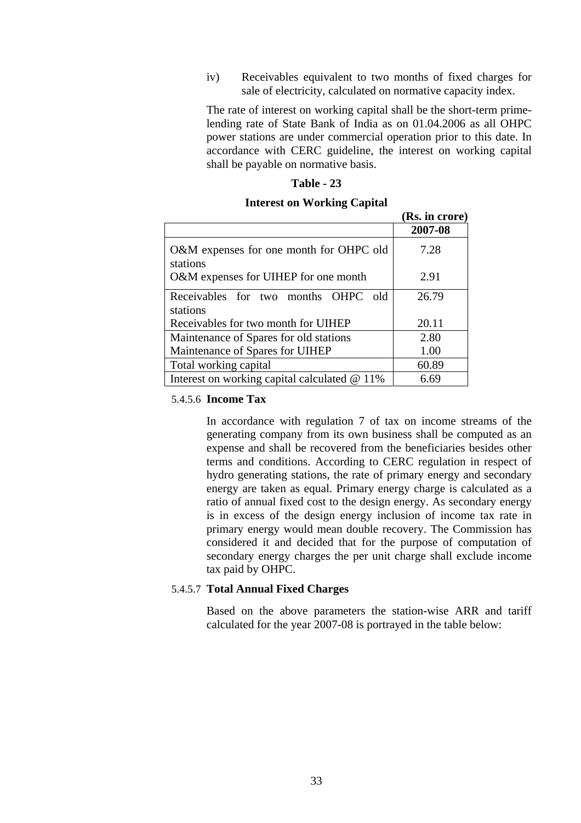iv) Receivables equivalent to two months of fixed charges for sale of electricity, calculated on normative capacity index.

The rate of interest on working capital shall be the short-term primelending rate of State Bank of India as on 01.04.2006 as all OHPC power stations are under commercial operation prior to this date. In accordance with CERC guideline, the interest on working capital shall be payable on normative basis.

 **(Rs. in crore)** 

#### **Table - 23**

#### **Interest on Working Capital**

|                                                     | (IW) III CLULU <i>)</i> |
|-----------------------------------------------------|-------------------------|
|                                                     | 2007-08                 |
| O&M expenses for one month for OHPC old<br>stations | 7.28                    |
| O&M expenses for UIHEP for one month                | 2.91                    |
| Receivables for two months OHPC<br>- old            | 26.79                   |
| stations                                            |                         |
| Receivables for two month for UIHEP                 | 20.11                   |
| Maintenance of Spares for old stations              | 2.80                    |
| Maintenance of Spares for UIHEP                     | 1.00                    |
| Total working capital                               | 60.89                   |
| Interest on working capital calculated $@11\%$      | 6.69                    |

#### 5.4.5.6 **Income Tax**

In accordance with regulation 7 of tax on income streams of the generating company from its own business shall be computed as an expense and shall be recovered from the beneficiaries besides other terms and conditions. According to CERC regulation in respect of hydro generating stations, the rate of primary energy and secondary energy are taken as equal. Primary energy charge is calculated as a ratio of annual fixed cost to the design energy. As secondary energy is in excess of the design energy inclusion of income tax rate in primary energy would mean double recovery. The Commission has considered it and decided that for the purpose of computation of secondary energy charges the per unit charge shall exclude income tax paid by OHPC.

#### 5.4.5.7 **Total Annual Fixed Charges**

Based on the above parameters the station-wise ARR and tariff calculated for the year 2007-08 is portrayed in the table below: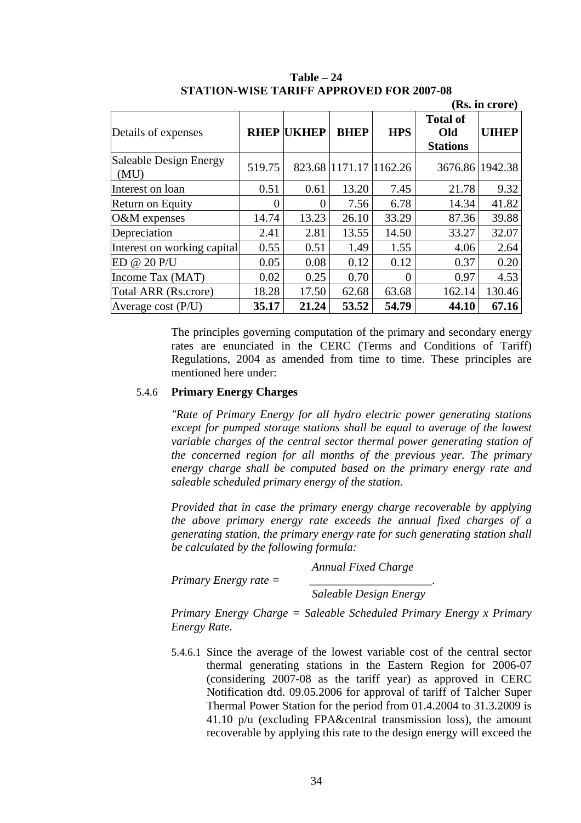|                                |        |                   |                        |            |                                           | (Rs. in crore) |
|--------------------------------|--------|-------------------|------------------------|------------|-------------------------------------------|----------------|
| Details of expenses            |        | <b>RHEP UKHEP</b> | <b>BHEP</b>            | <b>HPS</b> | <b>Total of</b><br>Old<br><b>Stations</b> | <b>UIHEP</b>   |
| Saleable Design Energy<br>(MU) | 519.75 |                   | 823.68 1171.17 1162.26 |            | 3676.86 1942.38                           |                |
| Interest on loan               | 0.51   | 0.61              | 13.20                  | 7.45       | 21.78                                     | 9.32           |
| Return on Equity               | 0      | 0                 | 7.56                   | 6.78       | 14.34                                     | 41.82          |
| O&M expenses                   | 14.74  | 13.23             | 26.10                  | 33.29      | 87.36                                     | 39.88          |
| Depreciation                   | 2.41   | 2.81              | 13.55                  | 14.50      | 33.27                                     | 32.07          |
| Interest on working capital    | 0.55   | 0.51              | 1.49                   | 1.55       | 4.06                                      | 2.64           |
| ED @ 20 P/U                    | 0.05   | 0.08              | 0.12                   | 0.12       | 0.37                                      | 0.20           |
| Income Tax (MAT)               | 0.02   | 0.25              | 0.70                   | $\Omega$   | 0.97                                      | 4.53           |
| Total ARR (Rs.crore)           | 18.28  | 17.50             | 62.68                  | 63.68      | 162.14                                    | 130.46         |
| Average cost $(P/U)$           | 35.17  | 21.24             | 53.52                  | 54.79      | 44.10                                     | 67.16          |

**Table – 24 STATION-WISE TARIFF APPROVED FOR 2007-08** 

The principles governing computation of the primary and secondary energy rates are enunciated in the CERC (Terms and Conditions of Tariff) Regulations, 2004 as amended from time to time. These principles are mentioned here under:

### 5.4.6 **Primary Energy Charges**

*"Rate of Primary Energy for all hydro electric power generating stations except for pumped storage stations shall be equal to average of the lowest variable charges of the central sector thermal power generating station of the concerned region for all months of the previous year. The primary energy charge shall be computed based on the primary energy rate and saleable scheduled primary energy of the station.* 

*Provided that in case the primary energy charge recoverable by applying the above primary energy rate exceeds the annual fixed charges of a generating station, the primary energy rate for such generating station shall be calculated by the following formula:* 

|                         | <b>Annual Fixed Charge</b> |
|-------------------------|----------------------------|
| Primary Energy rate $=$ |                            |

*Saleable Design Energy* 

*Primary Energy Charge = Saleable Scheduled Primary Energy x Primary Energy Rate.* 

5.4.6.1 Since the average of the lowest variable cost of the central sector thermal generating stations in the Eastern Region for 2006-07 (considering 2007-08 as the tariff year) as approved in CERC Notification dtd. 09.05.2006 for approval of tariff of Talcher Super Thermal Power Station for the period from 01.4.2004 to 31.3.2009 is 41.10  $p/u$  (excluding FPA&central transmission loss), the amount recoverable by applying this rate to the design energy will exceed the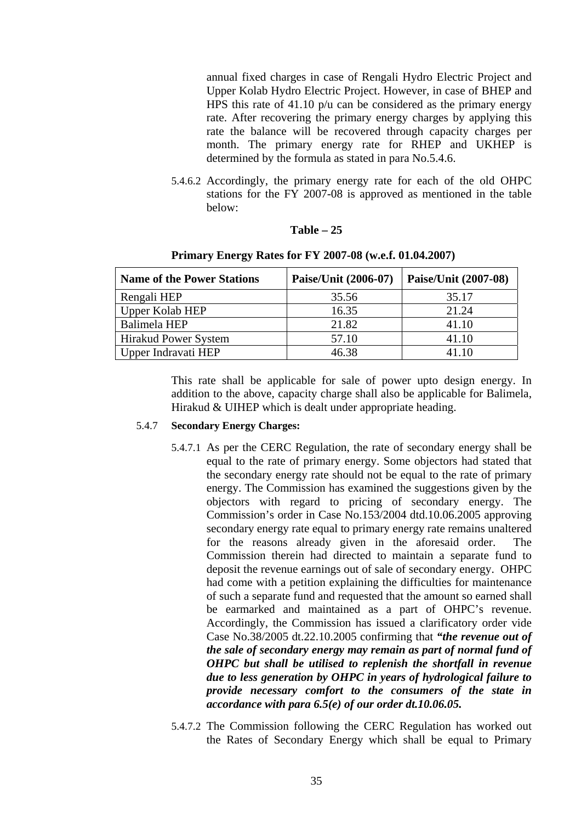annual fixed charges in case of Rengali Hydro Electric Project and Upper Kolab Hydro Electric Project. However, in case of BHEP and HPS this rate of 41.10 p/u can be considered as the primary energy rate. After recovering the primary energy charges by applying this rate the balance will be recovered through capacity charges per month. The primary energy rate for RHEP and UKHEP is determined by the formula as stated in para No.5.4.6.

5.4.6.2 Accordingly, the primary energy rate for each of the old OHPC stations for the FY 2007-08 is approved as mentioned in the table below:

### **Table – 25**

| <b>Name of the Power Stations</b> | Paise/Unit (2006-07) | Paise/Unit (2007-08) |
|-----------------------------------|----------------------|----------------------|
| Rengali HEP                       | 35.56                | 35.17                |
| Upper Kolab HEP                   | 16.35                | 21.24                |
| Balimela HEP                      | 21.82                | 41.10                |
| <b>Hirakud Power System</b>       | 57.10                | 41.10                |
| Upper Indravati HEP               | 46.38                | 41.10                |

# **Primary Energy Rates for FY 2007-08 (w.e.f. 01.04.2007)**

This rate shall be applicable for sale of power upto design energy. In addition to the above, capacity charge shall also be applicable for Balimela, Hirakud & UIHEP which is dealt under appropriate heading.

### 5.4.7 **Secondary Energy Charges:**

- 5.4.7.1 As per the CERC Regulation, the rate of secondary energy shall be equal to the rate of primary energy. Some objectors had stated that the secondary energy rate should not be equal to the rate of primary energy. The Commission has examined the suggestions given by the objectors with regard to pricing of secondary energy. The Commission's order in Case No.153/2004 dtd.10.06.2005 approving secondary energy rate equal to primary energy rate remains unaltered for the reasons already given in the aforesaid order. The Commission therein had directed to maintain a separate fund to deposit the revenue earnings out of sale of secondary energy. OHPC had come with a petition explaining the difficulties for maintenance of such a separate fund and requested that the amount so earned shall be earmarked and maintained as a part of OHPC's revenue. Accordingly, the Commission has issued a clarificatory order vide Case No.38/2005 dt.22.10.2005 confirming that *"the revenue out of the sale of secondary energy may remain as part of normal fund of OHPC but shall be utilised to replenish the shortfall in revenue due to less generation by OHPC in years of hydrological failure to provide necessary comfort to the consumers of the state in accordance with para 6.5(e) of our order dt.10.06.05.*
- 5.4.7.2 The Commission following the CERC Regulation has worked out the Rates of Secondary Energy which shall be equal to Primary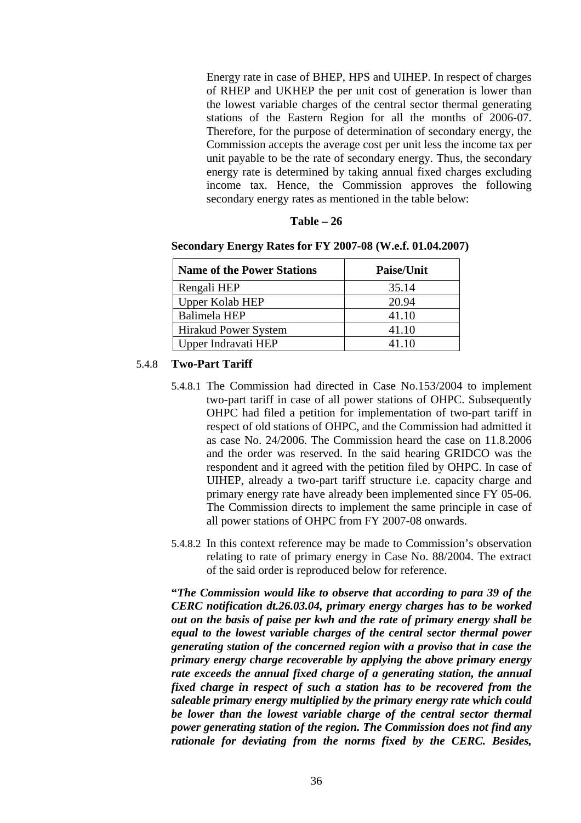Energy rate in case of BHEP, HPS and UIHEP. In respect of charges of RHEP and UKHEP the per unit cost of generation is lower than the lowest variable charges of the central sector thermal generating stations of the Eastern Region for all the months of 2006-07. Therefore, for the purpose of determination of secondary energy, the Commission accepts the average cost per unit less the income tax per unit payable to be the rate of secondary energy. Thus, the secondary energy rate is determined by taking annual fixed charges excluding income tax. Hence, the Commission approves the following secondary energy rates as mentioned in the table below:

| Table | 26 |
|-------|----|
|-------|----|

|  |  | Secondary Energy Rates for FY 2007-08 (W.e.f. 01.04.2007) |
|--|--|-----------------------------------------------------------|
|  |  |                                                           |

| <b>Name of the Power Stations</b> | <b>Paise/Unit</b> |
|-----------------------------------|-------------------|
| Rengali HEP                       | 35.14             |
| <b>Upper Kolab HEP</b>            | 20.94             |
| Balimela HEP                      | 41.10             |
| Hirakud Power System              | 41.10             |
| Upper Indravati HEP               | 41 10             |

### 5.4.8 **Two-Part Tariff**

- 5.4.8.1 The Commission had directed in Case No.153/2004 to implement two-part tariff in case of all power stations of OHPC. Subsequently OHPC had filed a petition for implementation of two-part tariff in respect of old stations of OHPC, and the Commission had admitted it as case No. 24/2006. The Commission heard the case on 11.8.2006 and the order was reserved. In the said hearing GRIDCO was the respondent and it agreed with the petition filed by OHPC. In case of UIHEP, already a two-part tariff structure i.e. capacity charge and primary energy rate have already been implemented since FY 05-06. The Commission directs to implement the same principle in case of all power stations of OHPC from FY 2007-08 onwards.
- 5.4.8.2 In this context reference may be made to Commission's observation relating to rate of primary energy in Case No. 88/2004. The extract of the said order is reproduced below for reference.

**"***The Commission would like to observe that according to para 39 of the CERC notification dt.26.03.04, primary energy charges has to be worked out on the basis of paise per kwh and the rate of primary energy shall be equal to the lowest variable charges of the central sector thermal power generating station of the concerned region with a proviso that in case the primary energy charge recoverable by applying the above primary energy rate exceeds the annual fixed charge of a generating station, the annual fixed charge in respect of such a station has to be recovered from the saleable primary energy multiplied by the primary energy rate which could be lower than the lowest variable charge of the central sector thermal power generating station of the region. The Commission does not find any rationale for deviating from the norms fixed by the CERC. Besides,*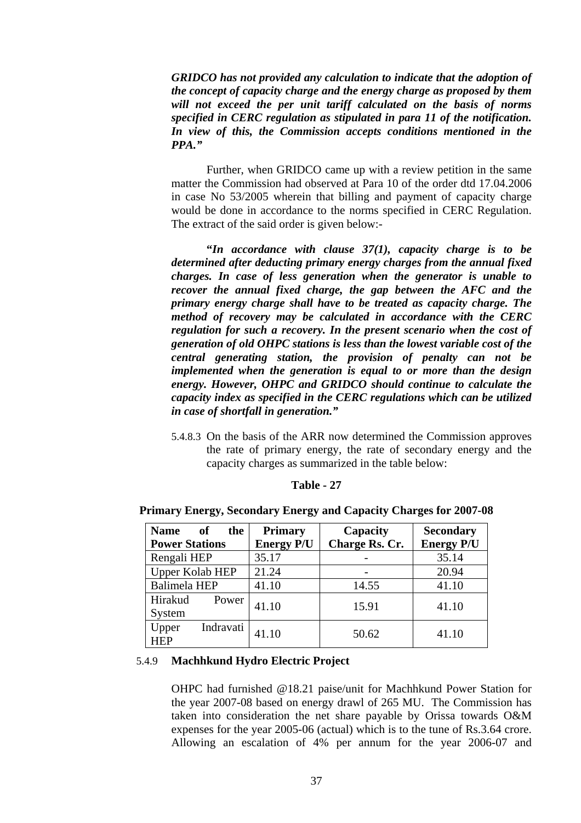*GRIDCO has not provided any calculation to indicate that the adoption of the concept of capacity charge and the energy charge as proposed by them will not exceed the per unit tariff calculated on the basis of norms specified in CERC regulation as stipulated in para 11 of the notification. In view of this, the Commission accepts conditions mentioned in the PPA."* 

Further, when GRIDCO came up with a review petition in the same matter the Commission had observed at Para 10 of the order dtd 17.04.2006 in case No 53/2005 wherein that billing and payment of capacity charge would be done in accordance to the norms specified in CERC Regulation. The extract of the said order is given below:-

**"***In accordance with clause 37(1), capacity charge is to be determined after deducting primary energy charges from the annual fixed charges. In case of less generation when the generator is unable to recover the annual fixed charge, the gap between the AFC and the primary energy charge shall have to be treated as capacity charge. The method of recovery may be calculated in accordance with the CERC regulation for such a recovery. In the present scenario when the cost of generation of old OHPC stations is less than the lowest variable cost of the central generating station, the provision of penalty can not be implemented when the generation is equal to or more than the design energy. However, OHPC and GRIDCO should continue to calculate the capacity index as specified in the CERC regulations which can be utilized in case of shortfall in generation."* 

5.4.8.3 On the basis of the ARR now determined the Commission approves the rate of primary energy, the rate of secondary energy and the capacity charges as summarized in the table below:

| <b>Name</b><br>the<br>- of | <b>Primary</b>    | Capacity       | <b>Secondary</b>  |
|----------------------------|-------------------|----------------|-------------------|
| <b>Power Stations</b>      | <b>Energy P/U</b> | Charge Rs. Cr. | <b>Energy P/U</b> |
| Rengali HEP                | 35.17             |                | 35.14             |
| <b>Upper Kolab HEP</b>     | 21.24             |                | 20.94             |
| <b>Balimela HEP</b>        | 41.10             | 14.55          | 41.10             |
| Hirakud<br>Power           | 41.10             | 15.91          | 41.10             |
| System                     |                   |                |                   |
| Indravati<br>Upper         | 41.10             | 50.62          | 41.10             |
| <b>HEP</b>                 |                   |                |                   |

**Primary Energy, Secondary Energy and Capacity Charges for 2007-08** 

### 5.4.9 **Machhkund Hydro Electric Project**

OHPC had furnished @18.21 paise/unit for Machhkund Power Station for the year 2007-08 based on energy drawl of 265 MU. The Commission has taken into consideration the net share payable by Orissa towards O&M expenses for the year 2005-06 (actual) which is to the tune of Rs.3.64 crore. Allowing an escalation of 4% per annum for the year 2006-07 and